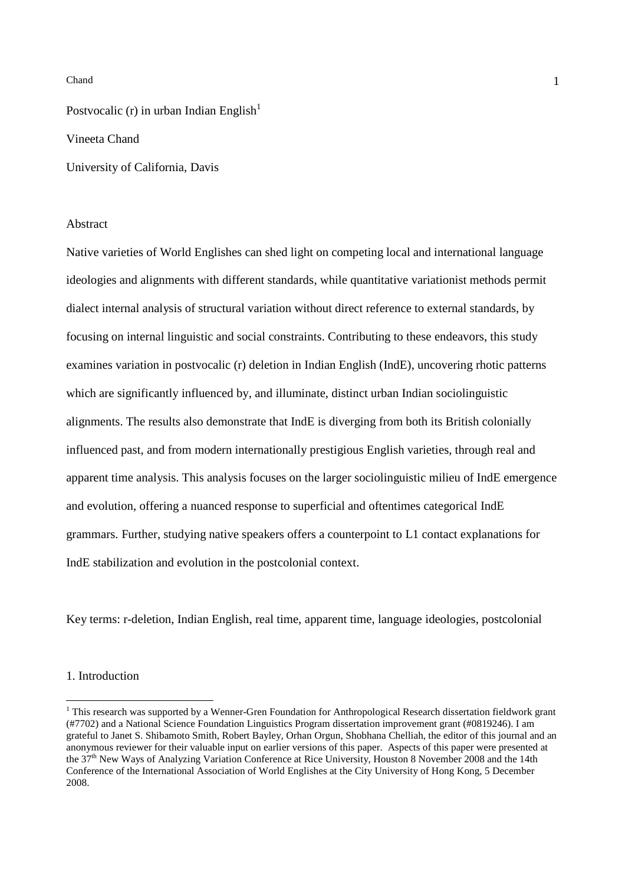Postvocalic (r) in urban Indian English<sup>1</sup>

Vineeta Chand

University of California, Davis

#### Abstract

Native varieties of World Englishes can shed light on competing local and international language ideologies and alignments with different standards, while quantitative variationist methods permit dialect internal analysis of structural variation without direct reference to external standards, by focusing on internal linguistic and social constraints. Contributing to these endeavors, this study examines variation in postvocalic (r) deletion in Indian English (IndE), uncovering rhotic patterns which are significantly influenced by, and illuminate, distinct urban Indian sociolinguistic alignments. The results also demonstrate that IndE is diverging from both its British colonially influenced past, and from modern internationally prestigious English varieties, through real and apparent time analysis. This analysis focuses on the larger sociolinguistic milieu of IndE emergence and evolution, offering a nuanced response to superficial and oftentimes categorical IndE grammars. Further, studying native speakers offers a counterpoint to L1 contact explanations for IndE stabilization and evolution in the postcolonial context.

Key terms: r-deletion, Indian English, real time, apparent time, language ideologies, postcolonial

### 1. Introduction

 $\overline{a}$ 

<sup>&</sup>lt;sup>1</sup> This research was supported by a Wenner-Gren Foundation for Anthropological Research dissertation fieldwork grant (#7702) and a National Science Foundation Linguistics Program dissertation improvement grant (#0819246). I am grateful to Janet S. Shibamoto Smith, Robert Bayley, Orhan Orgun, Shobhana Chelliah, the editor of this journal and an anonymous reviewer for their valuable input on earlier versions of this paper. Aspects of this paper were presented at the 37<sup>th</sup> New Ways of Analyzing Variation Conference at Rice University, Houston 8 November 2008 and the 14th Conference of the International Association of World Englishes at the City University of Hong Kong, 5 December 2008.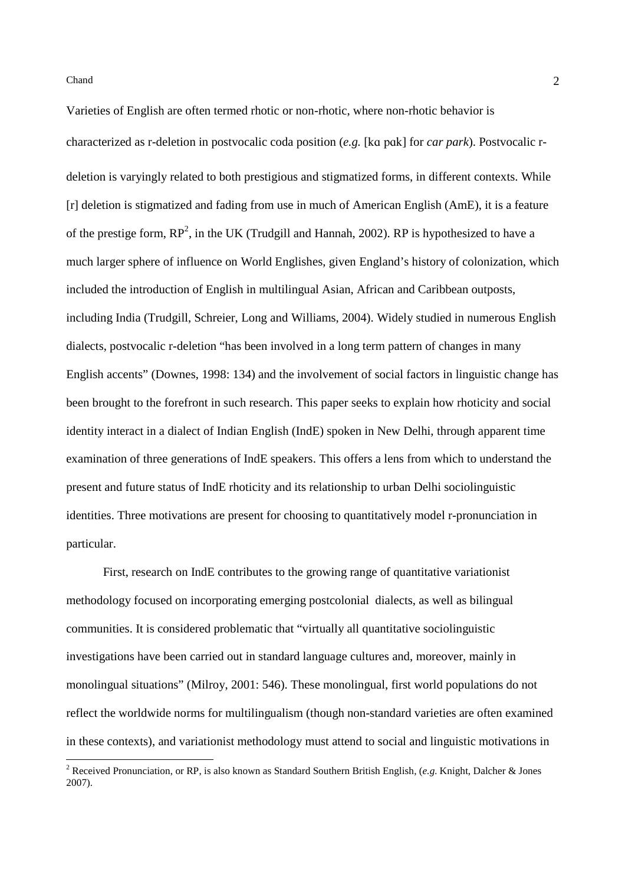Varieties of English are often termed rhotic or non-rhotic, where non-rhotic behavior is characterized as r-deletion in postvocalic coda position (*e.g.* [kɑ pɑk] for *car park*). Postvocalic rdeletion is varyingly related to both prestigious and stigmatized forms, in different contexts. While [r] deletion is stigmatized and fading from use in much of American English (AmE), it is a feature of the prestige form,  $RP^2$ , in the UK (Trudgill and Hannah, 2002). RP is hypothesized to have a much larger sphere of influence on World Englishes, given England's history of colonization, which included the introduction of English in multilingual Asian, African and Caribbean outposts, including India (Trudgill, Schreier, Long and Williams, 2004). Widely studied in numerous English dialects, postvocalic r-deletion "has been involved in a long term pattern of changes in many English accents" (Downes, 1998: 134) and the involvement of social factors in linguistic change has been brought to the forefront in such research. This paper seeks to explain how rhoticity and social identity interact in a dialect of Indian English (IndE) spoken in New Delhi, through apparent time examination of three generations of IndE speakers. This offers a lens from which to understand the present and future status of IndE rhoticity and its relationship to urban Delhi sociolinguistic identities. Three motivations are present for choosing to quantitatively model r-pronunciation in particular.

First, research on IndE contributes to the growing range of quantitative variationist methodology focused on incorporating emerging postcolonial dialects, as well as bilingual communities. It is considered problematic that "virtually all quantitative sociolinguistic investigations have been carried out in standard language cultures and, moreover, mainly in monolingual situations" (Milroy, 2001: 546). These monolingual, first world populations do not reflect the worldwide norms for multilingualism (though non-standard varieties are often examined in these contexts), and variationist methodology must attend to social and linguistic motivations in

 2 Received Pronunciation, or RP, is also known as Standard Southern British English, (*e.g.* Knight, Dalcher & Jones 2007).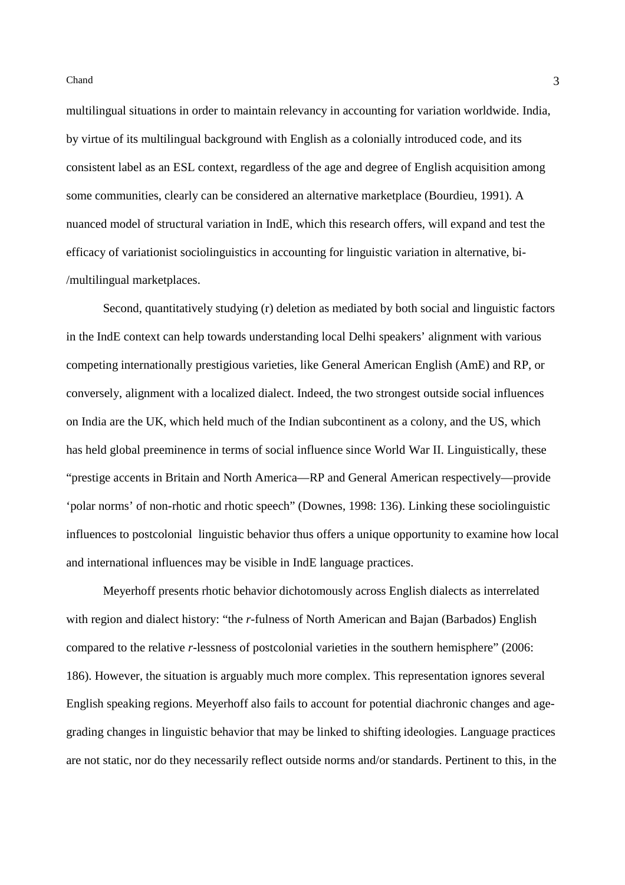multilingual situations in order to maintain relevancy in accounting for variation worldwide. India, by virtue of its multilingual background with English as a colonially introduced code, and its consistent label as an ESL context, regardless of the age and degree of English acquisition among some communities, clearly can be considered an alternative marketplace (Bourdieu, 1991). A nuanced model of structural variation in IndE, which this research offers, will expand and test the efficacy of variationist sociolinguistics in accounting for linguistic variation in alternative, bi- /multilingual marketplaces.

Second, quantitatively studying (r) deletion as mediated by both social and linguistic factors in the IndE context can help towards understanding local Delhi speakers' alignment with various competing internationally prestigious varieties, like General American English (AmE) and RP, or conversely, alignment with a localized dialect. Indeed, the two strongest outside social influences on India are the UK, which held much of the Indian subcontinent as a colony, and the US, which has held global preeminence in terms of social influence since World War II. Linguistically, these "prestige accents in Britain and North America—RP and General American respectively—provide 'polar norms' of non-rhotic and rhotic speech" (Downes, 1998: 136). Linking these sociolinguistic influences to postcolonial linguistic behavior thus offers a unique opportunity to examine how local and international influences may be visible in IndE language practices.

Meyerhoff presents rhotic behavior dichotomously across English dialects as interrelated with region and dialect history: "the *r*-fulness of North American and Bajan (Barbados) English compared to the relative *r*-lessness of postcolonial varieties in the southern hemisphere" (2006: 186). However, the situation is arguably much more complex. This representation ignores several English speaking regions. Meyerhoff also fails to account for potential diachronic changes and agegrading changes in linguistic behavior that may be linked to shifting ideologies. Language practices are not static, nor do they necessarily reflect outside norms and/or standards. Pertinent to this, in the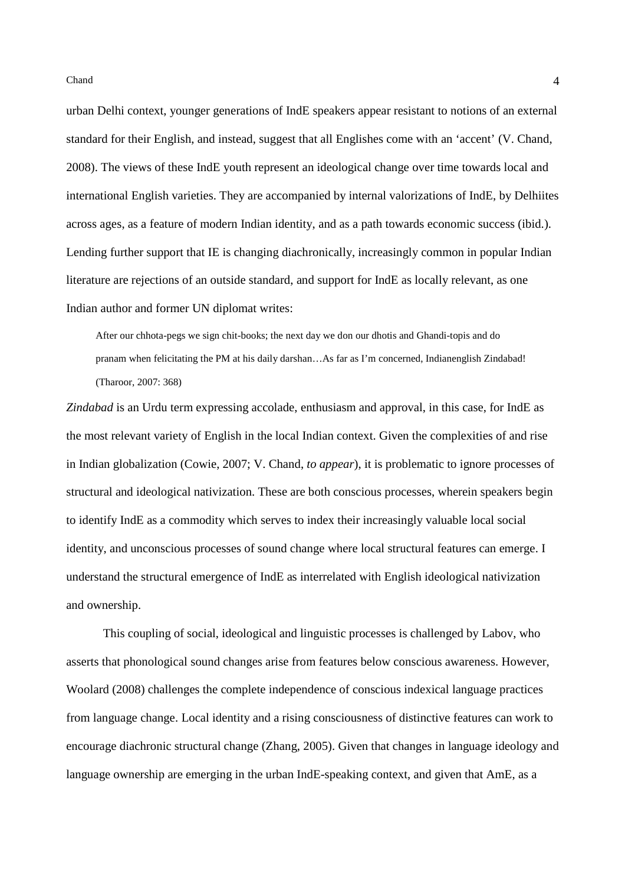urban Delhi context, younger generations of IndE speakers appear resistant to notions of an external standard for their English, and instead, suggest that all Englishes come with an 'accent' (V. Chand, 2008). The views of these IndE youth represent an ideological change over time towards local and international English varieties. They are accompanied by internal valorizations of IndE, by Delhiites across ages, as a feature of modern Indian identity, and as a path towards economic success (ibid.). Lending further support that IE is changing diachronically, increasingly common in popular Indian literature are rejections of an outside standard, and support for IndE as locally relevant, as one Indian author and former UN diplomat writes:

After our chhota-pegs we sign chit-books; the next day we don our dhotis and Ghandi-topis and do pranam when felicitating the PM at his daily darshan…As far as I'm concerned, Indianenglish Zindabad! (Tharoor, 2007: 368)

*Zindabad* is an Urdu term expressing accolade, enthusiasm and approval, in this case, for IndE as the most relevant variety of English in the local Indian context. Given the complexities of and rise in Indian globalization (Cowie, 2007; V. Chand, *to appear*), it is problematic to ignore processes of structural and ideological nativization. These are both conscious processes, wherein speakers begin to identify IndE as a commodity which serves to index their increasingly valuable local social identity, and unconscious processes of sound change where local structural features can emerge. I understand the structural emergence of IndE as interrelated with English ideological nativization and ownership.

This coupling of social, ideological and linguistic processes is challenged by Labov, who asserts that phonological sound changes arise from features below conscious awareness. However, Woolard (2008) challenges the complete independence of conscious indexical language practices from language change. Local identity and a rising consciousness of distinctive features can work to encourage diachronic structural change (Zhang, 2005). Given that changes in language ideology and language ownership are emerging in the urban IndE-speaking context, and given that AmE, as a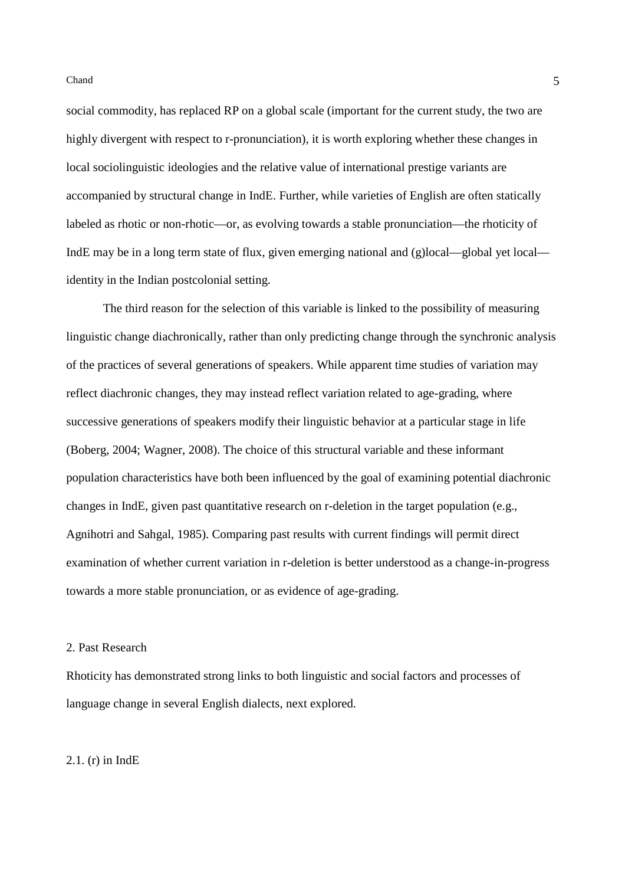social commodity, has replaced RP on a global scale (important for the current study, the two are highly divergent with respect to r-pronunciation), it is worth exploring whether these changes in local sociolinguistic ideologies and the relative value of international prestige variants are accompanied by structural change in IndE. Further, while varieties of English are often statically labeled as rhotic or non-rhotic—or, as evolving towards a stable pronunciation—the rhoticity of IndE may be in a long term state of flux, given emerging national and (g)local—global yet local identity in the Indian postcolonial setting.

The third reason for the selection of this variable is linked to the possibility of measuring linguistic change diachronically, rather than only predicting change through the synchronic analysis of the practices of several generations of speakers. While apparent time studies of variation may reflect diachronic changes, they may instead reflect variation related to age-grading, where successive generations of speakers modify their linguistic behavior at a particular stage in life (Boberg, 2004; Wagner, 2008). The choice of this structural variable and these informant population characteristics have both been influenced by the goal of examining potential diachronic changes in IndE, given past quantitative research on r-deletion in the target population (e.g., Agnihotri and Sahgal, 1985). Comparing past results with current findings will permit direct examination of whether current variation in r-deletion is better understood as a change-in-progress towards a more stable pronunciation, or as evidence of age-grading.

### 2. Past Research

Rhoticity has demonstrated strong links to both linguistic and social factors and processes of language change in several English dialects, next explored.

# 2.1. (r) in IndE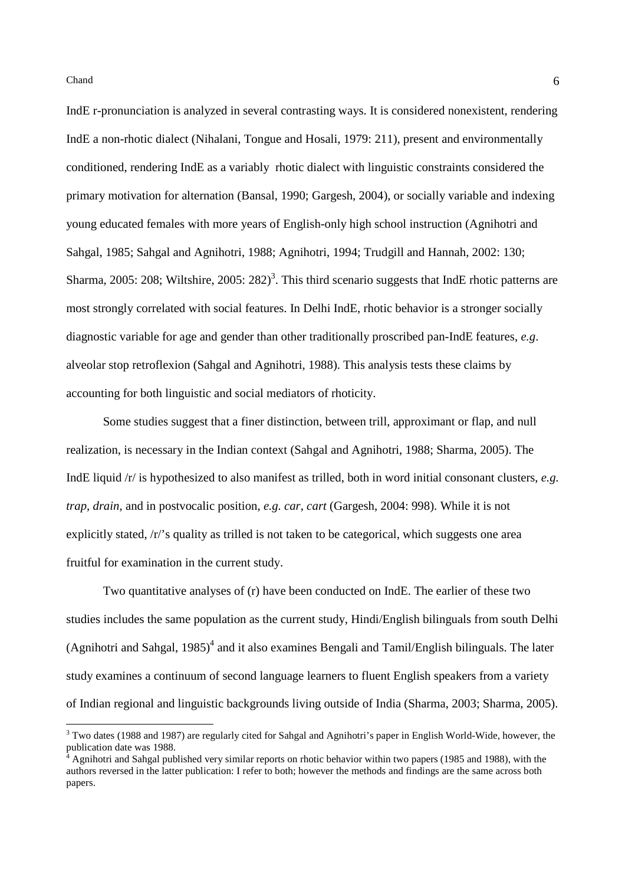IndE r-pronunciation is analyzed in several contrasting ways. It is considered nonexistent, rendering IndE a non-rhotic dialect (Nihalani, Tongue and Hosali, 1979: 211), present and environmentally conditioned, rendering IndE as a variably rhotic dialect with linguistic constraints considered the primary motivation for alternation (Bansal, 1990; Gargesh, 2004), or socially variable and indexing young educated females with more years of English-only high school instruction (Agnihotri and Sahgal, 1985; Sahgal and Agnihotri, 1988; Agnihotri, 1994; Trudgill and Hannah, 2002: 130; Sharma, 2005: 208; Wiltshire, 2005: 282)<sup>3</sup>. This third scenario suggests that IndE rhotic patterns are most strongly correlated with social features. In Delhi IndE, rhotic behavior is a stronger socially diagnostic variable for age and gender than other traditionally proscribed pan-IndE features, *e.g*. alveolar stop retroflexion (Sahgal and Agnihotri, 1988). This analysis tests these claims by accounting for both linguistic and social mediators of rhoticity.

Some studies suggest that a finer distinction, between trill, approximant or flap, and null realization, is necessary in the Indian context (Sahgal and Agnihotri, 1988; Sharma, 2005). The IndE liquid /r/ is hypothesized to also manifest as trilled, both in word initial consonant clusters, *e.g. trap*, *drain*, and in postvocalic position, *e.g. car*, *cart* (Gargesh, 2004: 998). While it is not explicitly stated, /r/'s quality as trilled is not taken to be categorical, which suggests one area fruitful for examination in the current study.

Two quantitative analyses of (r) have been conducted on IndE. The earlier of these two studies includes the same population as the current study, Hindi/English bilinguals from south Delhi (Agnihotri and Sahgal,  $1985$ )<sup>4</sup> and it also examines Bengali and Tamil/English bilinguals. The later study examines a continuum of second language learners to fluent English speakers from a variety of Indian regional and linguistic backgrounds living outside of India (Sharma, 2003; Sharma, 2005).

<sup>&</sup>lt;sup>3</sup> Two dates (1988 and 1987) are regularly cited for Sahgal and Agnihotri's paper in English World-Wide, however, the publication date was 1988.

<sup>4</sup> Agnihotri and Sahgal published very similar reports on rhotic behavior within two papers (1985 and 1988), with the authors reversed in the latter publication: I refer to both; however the methods and findings are the same across both papers.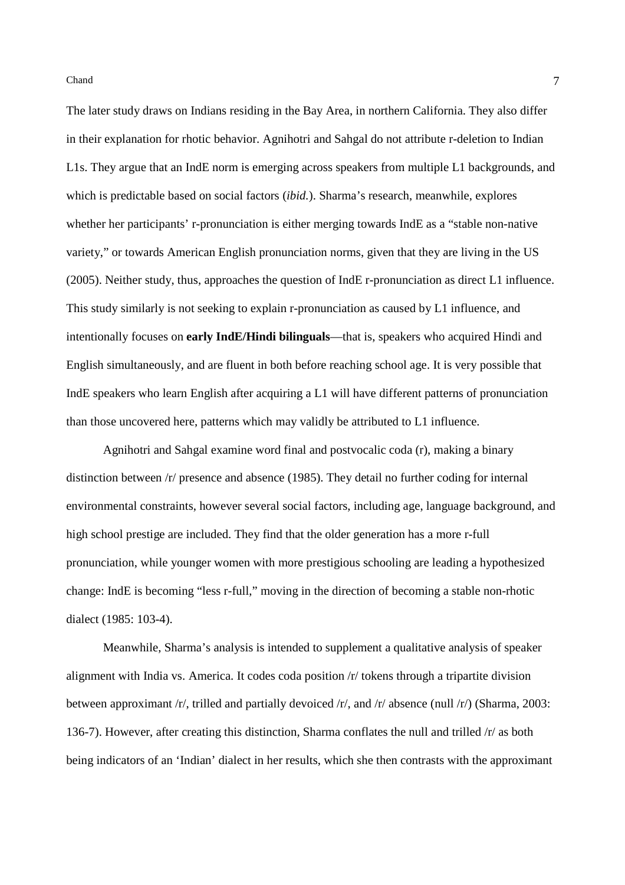The later study draws on Indians residing in the Bay Area, in northern California. They also differ in their explanation for rhotic behavior. Agnihotri and Sahgal do not attribute r-deletion to Indian L1s. They argue that an IndE norm is emerging across speakers from multiple L1 backgrounds, and which is predictable based on social factors (*ibid.*). Sharma's research, meanwhile, explores whether her participants' r-pronunciation is either merging towards IndE as a "stable non-native variety," or towards American English pronunciation norms, given that they are living in the US (2005). Neither study, thus, approaches the question of IndE r-pronunciation as direct L1 influence. This study similarly is not seeking to explain r-pronunciation as caused by L1 influence, and intentionally focuses on **early IndE/Hindi bilinguals**—that is, speakers who acquired Hindi and English simultaneously, and are fluent in both before reaching school age. It is very possible that IndE speakers who learn English after acquiring a L1 will have different patterns of pronunciation than those uncovered here, patterns which may validly be attributed to L1 influence.

Agnihotri and Sahgal examine word final and postvocalic coda (r), making a binary distinction between /r/ presence and absence (1985). They detail no further coding for internal environmental constraints, however several social factors, including age, language background, and high school prestige are included. They find that the older generation has a more r-full pronunciation, while younger women with more prestigious schooling are leading a hypothesized change: IndE is becoming "less r-full," moving in the direction of becoming a stable non-rhotic dialect (1985: 103-4).

Meanwhile, Sharma's analysis is intended to supplement a qualitative analysis of speaker alignment with India vs. America. It codes coda position /r/ tokens through a tripartite division between approximant /r/, trilled and partially devoiced /r/, and /r/ absence (null /r/) (Sharma, 2003: 136-7). However, after creating this distinction, Sharma conflates the null and trilled /r/ as both being indicators of an 'Indian' dialect in her results, which she then contrasts with the approximant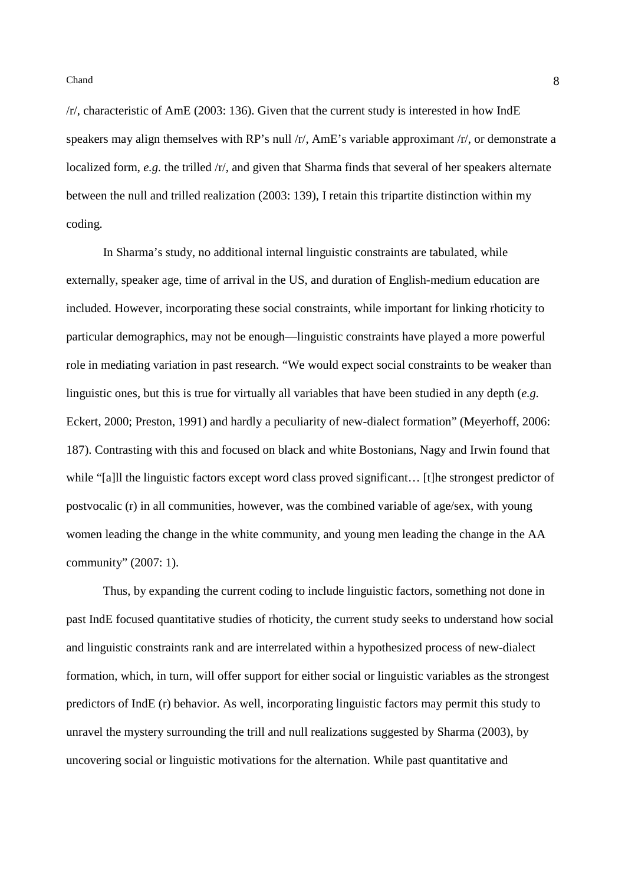/r/, characteristic of AmE (2003: 136). Given that the current study is interested in how IndE speakers may align themselves with RP's null /r/, AmE's variable approximant /r/, or demonstrate a localized form, *e.g.* the trilled /r/, and given that Sharma finds that several of her speakers alternate between the null and trilled realization (2003: 139), I retain this tripartite distinction within my coding.

In Sharma's study, no additional internal linguistic constraints are tabulated, while externally, speaker age, time of arrival in the US, and duration of English-medium education are included. However, incorporating these social constraints, while important for linking rhoticity to particular demographics, may not be enough—linguistic constraints have played a more powerful role in mediating variation in past research. "We would expect social constraints to be weaker than linguistic ones, but this is true for virtually all variables that have been studied in any depth (*e.g.* Eckert, 2000; Preston, 1991) and hardly a peculiarity of new-dialect formation" (Meyerhoff, 2006: 187). Contrasting with this and focused on black and white Bostonians, Nagy and Irwin found that while "[a]ll the linguistic factors except word class proved significant... [t]he strongest predictor of postvocalic (r) in all communities, however, was the combined variable of age/sex, with young women leading the change in the white community, and young men leading the change in the AA community" (2007: 1).

Thus, by expanding the current coding to include linguistic factors, something not done in past IndE focused quantitative studies of rhoticity, the current study seeks to understand how social and linguistic constraints rank and are interrelated within a hypothesized process of new-dialect formation, which, in turn, will offer support for either social or linguistic variables as the strongest predictors of IndE (r) behavior. As well, incorporating linguistic factors may permit this study to unravel the mystery surrounding the trill and null realizations suggested by Sharma (2003), by uncovering social or linguistic motivations for the alternation. While past quantitative and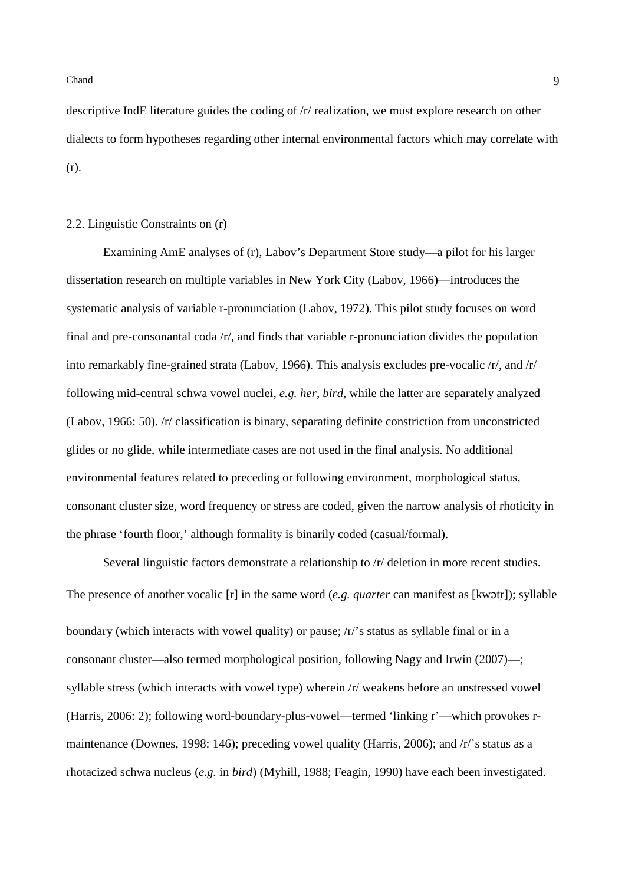descriptive IndE literature guides the coding of /r/ realization, we must explore research on other dialects to form hypotheses regarding other internal environmental factors which may correlate with (r).

## 2.2. Linguistic Constraints on (r)

Examining AmE analyses of (r), Labov's Department Store study—a pilot for his larger dissertation research on multiple variables in New York City (Labov, 1966)—introduces the systematic analysis of variable r-pronunciation (Labov, 1972). This pilot study focuses on word final and pre-consonantal coda /r/, and finds that variable r-pronunciation divides the population into remarkably fine-grained strata (Labov, 1966). This analysis excludes pre-vocalic /r/, and /r/ following mid-central schwa vowel nuclei, *e.g. her*, *bird*, while the latter are separately analyzed (Labov, 1966: 50). /r/ classification is binary, separating definite constriction from unconstricted glides or no glide, while intermediate cases are not used in the final analysis. No additional environmental features related to preceding or following environment, morphological status, consonant cluster size, word frequency or stress are coded, given the narrow analysis of rhoticity in the phrase 'fourth floor,' although formality is binarily coded (casual/formal).

Several linguistic factors demonstrate a relationship to  $/r/$  deletion in more recent studies. The presence of another vocalic [r] in the same word (*e.g. quarter* can manifest as [kwɔtr]); syllable boundary (which interacts with vowel quality) or pause; /r/'s status as syllable final or in a consonant cluster—also termed morphological position, following Nagy and Irwin (2007)—; syllable stress (which interacts with vowel type) wherein /r/ weakens before an unstressed vowel (Harris, 2006: 2); following word-boundary-plus-vowel—termed 'linking r'—which provokes rmaintenance (Downes, 1998: 146); preceding vowel quality (Harris, 2006); and /r/'s status as a rhotacized schwa nucleus (*e.g.* in *bird*) (Myhill, 1988; Feagin, 1990) have each been investigated.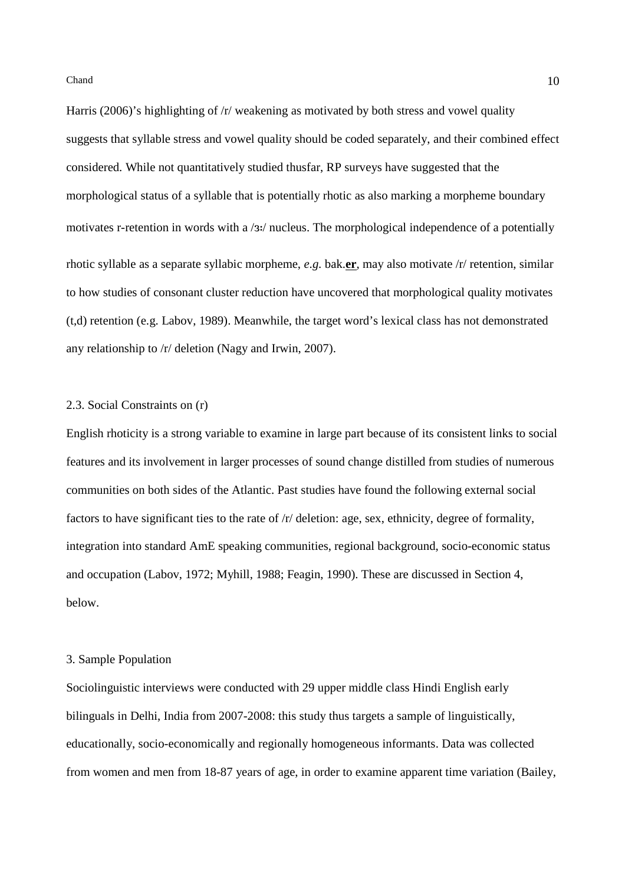Harris (2006)'s highlighting of /r/ weakening as motivated by both stress and vowel quality suggests that syllable stress and vowel quality should be coded separately, and their combined effect considered. While not quantitatively studied thusfar, RP surveys have suggested that the morphological status of a syllable that is potentially rhotic as also marking a morpheme boundary motivates r-retention in words with a /3:/ nucleus. The morphological independence of a potentially rhotic syllable as a separate syllabic morpheme, *e.g.* bak.**er**, may also motivate /r/ retention, similar to how studies of consonant cluster reduction have uncovered that morphological quality motivates (t,d) retention (e.g. Labov, 1989). Meanwhile, the target word's lexical class has not demonstrated any relationship to /r/ deletion (Nagy and Irwin, 2007).

#### 2.3. Social Constraints on (r)

English rhoticity is a strong variable to examine in large part because of its consistent links to social features and its involvement in larger processes of sound change distilled from studies of numerous communities on both sides of the Atlantic. Past studies have found the following external social factors to have significant ties to the rate of /r/ deletion: age, sex, ethnicity, degree of formality, integration into standard AmE speaking communities, regional background, socio-economic status and occupation (Labov, 1972; Myhill, 1988; Feagin, 1990). These are discussed in Section 4, below.

#### 3. Sample Population

Sociolinguistic interviews were conducted with 29 upper middle class Hindi English early bilinguals in Delhi, India from 2007-2008: this study thus targets a sample of linguistically, educationally, socio-economically and regionally homogeneous informants. Data was collected from women and men from 18-87 years of age, in order to examine apparent time variation (Bailey,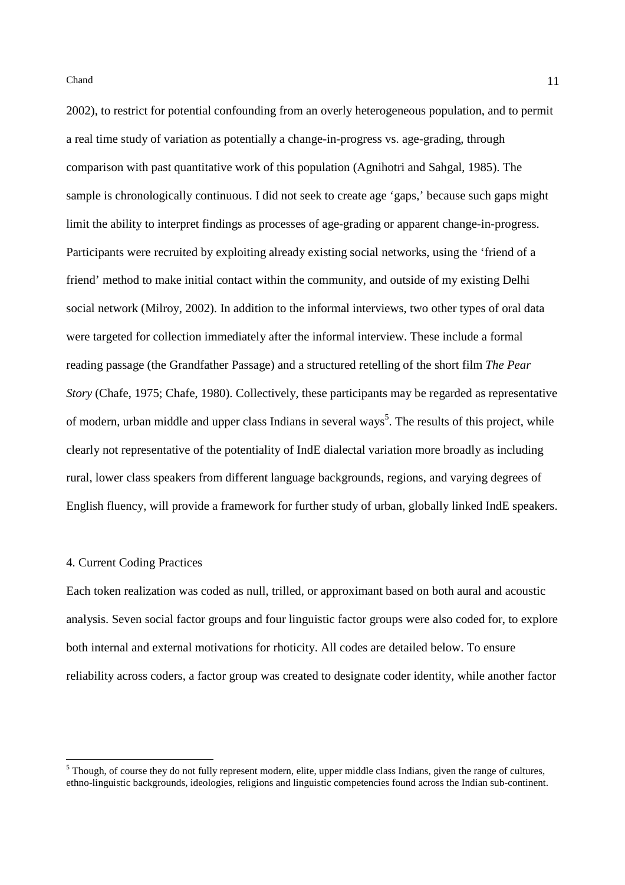2002), to restrict for potential confounding from an overly heterogeneous population, and to permit a real time study of variation as potentially a change-in-progress vs. age-grading, through comparison with past quantitative work of this population (Agnihotri and Sahgal, 1985). The sample is chronologically continuous. I did not seek to create age 'gaps,' because such gaps might limit the ability to interpret findings as processes of age-grading or apparent change-in-progress. Participants were recruited by exploiting already existing social networks, using the 'friend of a friend' method to make initial contact within the community, and outside of my existing Delhi social network (Milroy, 2002). In addition to the informal interviews, two other types of oral data were targeted for collection immediately after the informal interview. These include a formal reading passage (the Grandfather Passage) and a structured retelling of the short film *The Pear Story* (Chafe, 1975; Chafe, 1980). Collectively, these participants may be regarded as representative of modern, urban middle and upper class Indians in several ways<sup>5</sup>. The results of this project, while clearly not representative of the potentiality of IndE dialectal variation more broadly as including rural, lower class speakers from different language backgrounds, regions, and varying degrees of English fluency, will provide a framework for further study of urban, globally linked IndE speakers.

### 4. Current Coding Practices

Each token realization was coded as null, trilled, or approximant based on both aural and acoustic analysis. Seven social factor groups and four linguistic factor groups were also coded for, to explore both internal and external motivations for rhoticity. All codes are detailed below. To ensure reliability across coders, a factor group was created to designate coder identity, while another factor

<sup>&</sup>lt;sup>5</sup> Though, of course they do not fully represent modern, elite, upper middle class Indians, given the range of cultures, ethno-linguistic backgrounds, ideologies, religions and linguistic competencies found across the Indian sub-continent.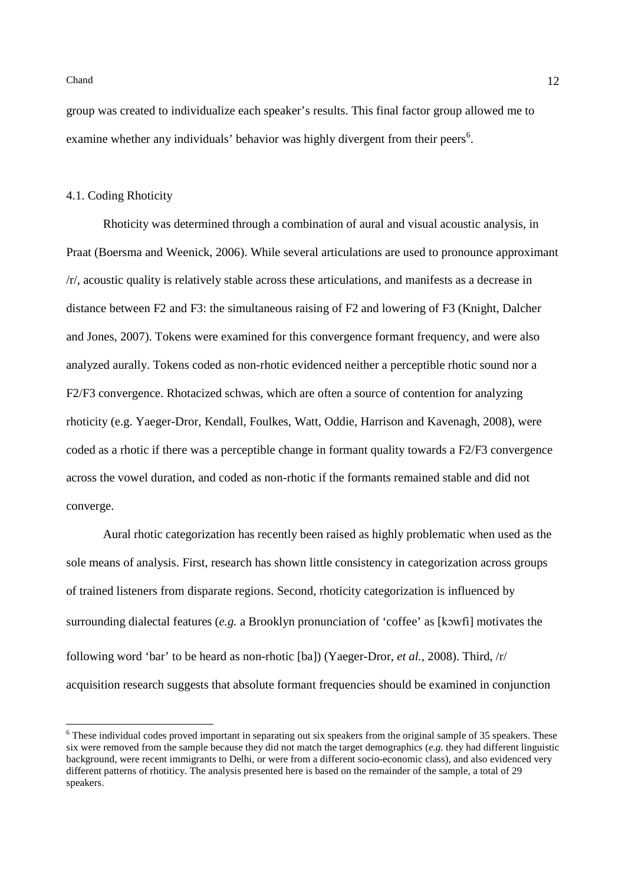group was created to individualize each speaker's results. This final factor group allowed me to examine whether any individuals' behavior was highly divergent from their peers<sup>6</sup>.

#### 4.1. Coding Rhoticity

Rhoticity was determined through a combination of aural and visual acoustic analysis, in Praat (Boersma and Weenick, 2006). While several articulations are used to pronounce approximant /r/, acoustic quality is relatively stable across these articulations, and manifests as a decrease in distance between F2 and F3: the simultaneous raising of F2 and lowering of F3 (Knight, Dalcher and Jones, 2007). Tokens were examined for this convergence formant frequency, and were also analyzed aurally. Tokens coded as non-rhotic evidenced neither a perceptible rhotic sound nor a F2/F3 convergence. Rhotacized schwas, which are often a source of contention for analyzing rhoticity (e.g. Yaeger-Dror, Kendall, Foulkes, Watt, Oddie, Harrison and Kavenagh, 2008), were coded as a rhotic if there was a perceptible change in formant quality towards a F2/F3 convergence across the vowel duration, and coded as non-rhotic if the formants remained stable and did not converge.

Aural rhotic categorization has recently been raised as highly problematic when used as the sole means of analysis. First, research has shown little consistency in categorization across groups of trained listeners from disparate regions. Second, rhoticity categorization is influenced by surrounding dialectal features (*e.g.* a Brooklyn pronunciation of 'coffee' as [kɔwfi] motivates the following word 'bar' to be heard as non-rhotic [ba]) (Yaeger-Dror*, et al.*, 2008). Third, /r/ acquisition research suggests that absolute formant frequencies should be examined in conjunction

<sup>&</sup>lt;sup>6</sup> These individual codes proved important in separating out six speakers from the original sample of 35 speakers. These six were removed from the sample because they did not match the target demographics (*e.g.* they had different linguistic background, were recent immigrants to Delhi, or were from a different socio-economic class), and also evidenced very different patterns of rhotiticy. The analysis presented here is based on the remainder of the sample, a total of 29 speakers.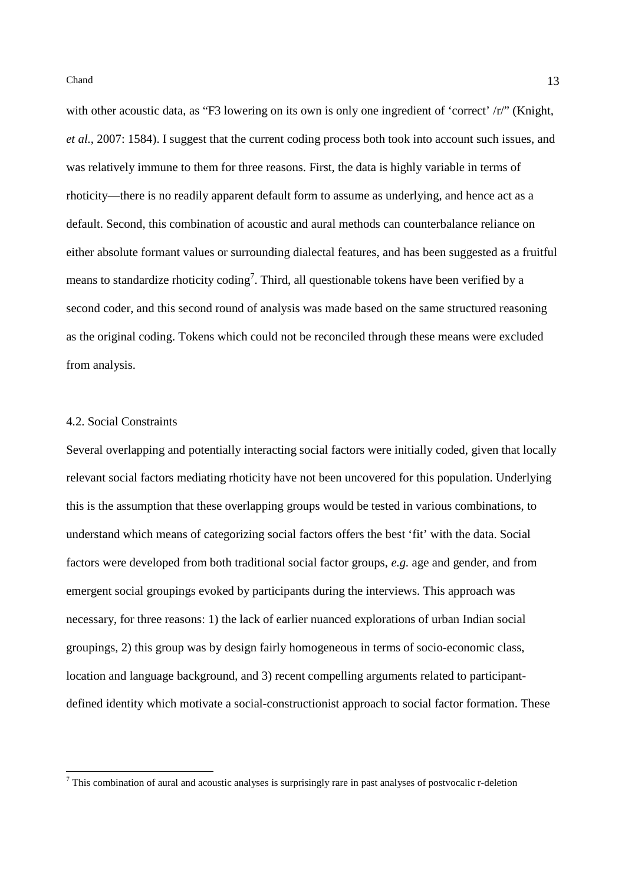with other acoustic data, as "F3 lowering on its own is only one ingredient of 'correct' /r/" (Knight, *et al.*, 2007: 1584). I suggest that the current coding process both took into account such issues, and was relatively immune to them for three reasons. First, the data is highly variable in terms of rhoticity—there is no readily apparent default form to assume as underlying, and hence act as a default. Second, this combination of acoustic and aural methods can counterbalance reliance on either absolute formant values or surrounding dialectal features, and has been suggested as a fruitful means to standardize rhoticity coding<sup>7</sup>. Third, all questionable tokens have been verified by a second coder, and this second round of analysis was made based on the same structured reasoning as the original coding. Tokens which could not be reconciled through these means were excluded from analysis.

## 4.2. Social Constraints

Several overlapping and potentially interacting social factors were initially coded, given that locally relevant social factors mediating rhoticity have not been uncovered for this population. Underlying this is the assumption that these overlapping groups would be tested in various combinations, to understand which means of categorizing social factors offers the best 'fit' with the data. Social factors were developed from both traditional social factor groups, *e.g.* age and gender, and from emergent social groupings evoked by participants during the interviews. This approach was necessary, for three reasons: 1) the lack of earlier nuanced explorations of urban Indian social groupings, 2) this group was by design fairly homogeneous in terms of socio-economic class, location and language background, and 3) recent compelling arguments related to participantdefined identity which motivate a social-constructionist approach to social factor formation. These

<sup>&</sup>lt;sup>7</sup> This combination of aural and acoustic analyses is surprisingly rare in past analyses of postvocalic r-deletion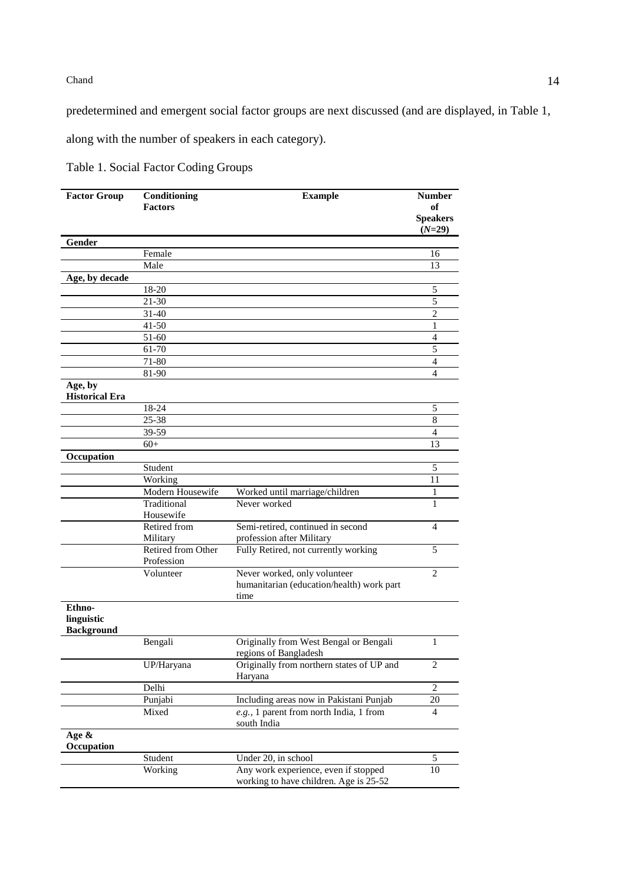predetermined and emergent social factor groups are next discussed (and are displayed, in Table 1,

along with the number of speakers in each category).

| <b>Factor Group</b>                       | Conditioning<br><b>Factors</b>   | <b>Example</b>                                                                 | <b>Number</b><br>of |
|-------------------------------------------|----------------------------------|--------------------------------------------------------------------------------|---------------------|
|                                           |                                  |                                                                                | <b>Speakers</b>     |
|                                           |                                  |                                                                                | $(N=29)$            |
| Gender                                    |                                  |                                                                                |                     |
|                                           | Female                           |                                                                                | 16                  |
|                                           | Male                             |                                                                                | 13                  |
| Age, by decade                            |                                  |                                                                                |                     |
|                                           | 18-20                            |                                                                                | 5                   |
|                                           | 21-30                            |                                                                                | 5                   |
|                                           | 31-40                            |                                                                                | $\overline{c}$      |
|                                           | $41 - 50$                        |                                                                                | 1                   |
|                                           | 51-60                            |                                                                                | 4                   |
|                                           | 61-70                            |                                                                                | 5                   |
|                                           | 71-80                            |                                                                                | $\overline{4}$      |
|                                           | 81-90                            |                                                                                | $\overline{4}$      |
| Age, by<br><b>Historical Era</b>          |                                  |                                                                                |                     |
|                                           | 18-24                            |                                                                                | 5                   |
|                                           | 25-38                            |                                                                                | 8                   |
|                                           | 39-59                            |                                                                                | 4                   |
|                                           | $60+$                            |                                                                                | 13                  |
| Occupation                                |                                  |                                                                                |                     |
|                                           | Student                          |                                                                                | 5                   |
|                                           | Working                          |                                                                                | 11                  |
|                                           | Modern Housewife                 | Worked until marriage/children                                                 | 1                   |
|                                           | Traditional                      | Never worked                                                                   | 1                   |
|                                           | Housewife                        |                                                                                |                     |
|                                           | Retired from                     | Semi-retired, continued in second                                              | 4                   |
|                                           | Military                         | profession after Military                                                      |                     |
|                                           | Retired from Other<br>Profession | Fully Retired, not currently working                                           | 5                   |
|                                           | Volunteer                        | Never worked, only volunteer                                                   | 2                   |
|                                           |                                  | humanitarian (education/health) work part                                      |                     |
|                                           |                                  | time                                                                           |                     |
| Ethno-<br>linguistic<br><b>Background</b> |                                  |                                                                                |                     |
|                                           | Bengali                          | Originally from West Bengal or Bengali<br>regions of Bangladesh                | 1                   |
|                                           | UP/Haryana                       | Originally from northern states of UP and<br>Haryana                           | 2                   |
|                                           | Delhi                            |                                                                                | $\overline{2}$      |
|                                           | Punjabi                          | Including areas now in Pakistani Punjab                                        | 20                  |
|                                           | Mixed                            | e.g., 1 parent from north India, 1 from<br>south India                         | 4                   |
| Age $\&$<br>Occupation                    |                                  |                                                                                |                     |
|                                           | Student                          | Under 20, in school                                                            | $\mathfrak{S}$      |
|                                           | Working                          | Any work experience, even if stopped<br>working to have children. Age is 25-52 | 10                  |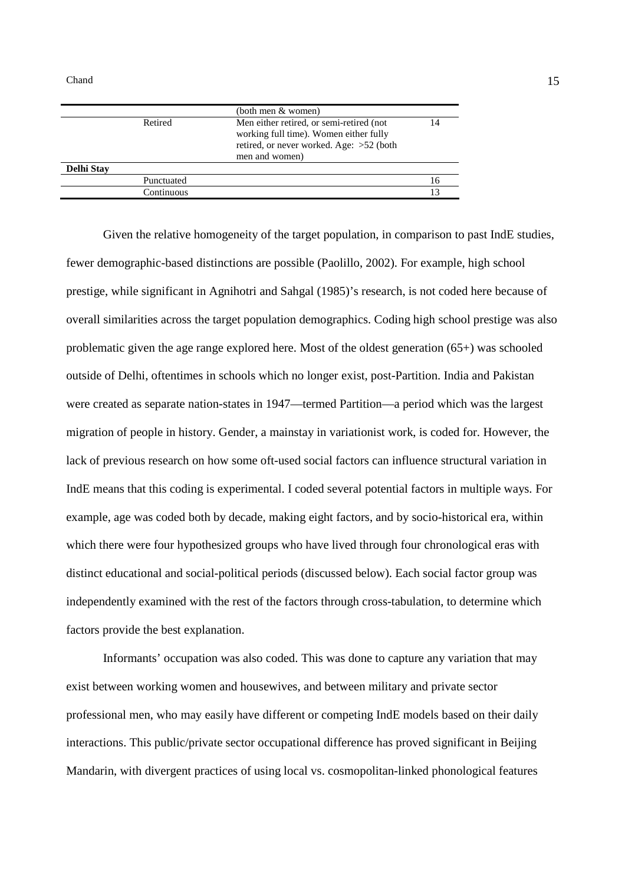|                   |            | (both men & women)                                                                                                                                 |  |
|-------------------|------------|----------------------------------------------------------------------------------------------------------------------------------------------------|--|
|                   | Retired    | Men either retired, or semi-retired (not<br>working full time). Women either fully<br>retired, or never worked. Age: $>52$ (both<br>men and women) |  |
| <b>Delhi Stay</b> |            |                                                                                                                                                    |  |
|                   | Punctuated |                                                                                                                                                    |  |
|                   | Continuous |                                                                                                                                                    |  |
|                   |            |                                                                                                                                                    |  |

Given the relative homogeneity of the target population, in comparison to past IndE studies, fewer demographic-based distinctions are possible (Paolillo, 2002). For example, high school prestige, while significant in Agnihotri and Sahgal (1985)'s research, is not coded here because of overall similarities across the target population demographics. Coding high school prestige was also problematic given the age range explored here. Most of the oldest generation (65+) was schooled outside of Delhi, oftentimes in schools which no longer exist, post-Partition. India and Pakistan were created as separate nation-states in 1947—termed Partition—a period which was the largest migration of people in history. Gender, a mainstay in variationist work, is coded for. However, the lack of previous research on how some oft-used social factors can influence structural variation in IndE means that this coding is experimental. I coded several potential factors in multiple ways. For example, age was coded both by decade, making eight factors, and by socio-historical era, within which there were four hypothesized groups who have lived through four chronological eras with distinct educational and social-political periods (discussed below). Each social factor group was independently examined with the rest of the factors through cross-tabulation, to determine which factors provide the best explanation.

Informants' occupation was also coded. This was done to capture any variation that may exist between working women and housewives, and between military and private sector professional men, who may easily have different or competing IndE models based on their daily interactions. This public/private sector occupational difference has proved significant in Beijing Mandarin, with divergent practices of using local vs. cosmopolitan-linked phonological features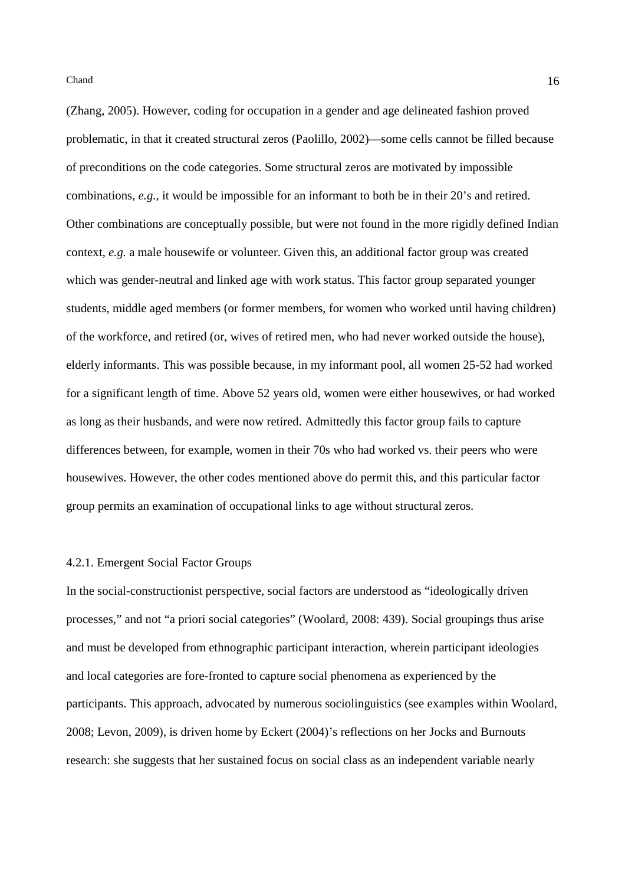(Zhang, 2005). However, coding for occupation in a gender and age delineated fashion proved problematic, in that it created structural zeros (Paolillo, 2002)—some cells cannot be filled because of preconditions on the code categories. Some structural zeros are motivated by impossible combinations, *e.g.*, it would be impossible for an informant to both be in their 20's and retired. Other combinations are conceptually possible, but were not found in the more rigidly defined Indian context, *e.g.* a male housewife or volunteer. Given this, an additional factor group was created which was gender-neutral and linked age with work status. This factor group separated younger students, middle aged members (or former members, for women who worked until having children) of the workforce, and retired (or, wives of retired men, who had never worked outside the house), elderly informants. This was possible because, in my informant pool, all women 25-52 had worked for a significant length of time. Above 52 years old, women were either housewives, or had worked as long as their husbands, and were now retired. Admittedly this factor group fails to capture differences between, for example, women in their 70s who had worked vs. their peers who were housewives. However, the other codes mentioned above do permit this, and this particular factor group permits an examination of occupational links to age without structural zeros.

### 4.2.1. Emergent Social Factor Groups

In the social-constructionist perspective, social factors are understood as "ideologically driven processes," and not "a priori social categories" (Woolard, 2008: 439). Social groupings thus arise and must be developed from ethnographic participant interaction, wherein participant ideologies and local categories are fore-fronted to capture social phenomena as experienced by the participants. This approach, advocated by numerous sociolinguistics (see examples within Woolard, 2008; Levon, 2009), is driven home by Eckert (2004)'s reflections on her Jocks and Burnouts research: she suggests that her sustained focus on social class as an independent variable nearly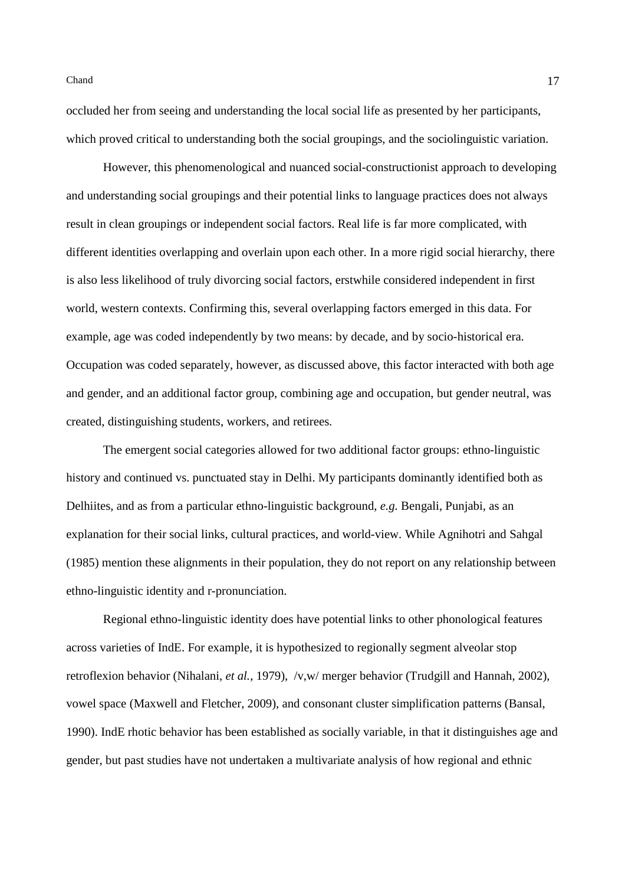occluded her from seeing and understanding the local social life as presented by her participants, which proved critical to understanding both the social groupings, and the sociolinguistic variation.

However, this phenomenological and nuanced social-constructionist approach to developing and understanding social groupings and their potential links to language practices does not always result in clean groupings or independent social factors. Real life is far more complicated, with different identities overlapping and overlain upon each other. In a more rigid social hierarchy, there is also less likelihood of truly divorcing social factors, erstwhile considered independent in first world, western contexts. Confirming this, several overlapping factors emerged in this data. For example, age was coded independently by two means: by decade, and by socio-historical era. Occupation was coded separately, however, as discussed above, this factor interacted with both age and gender, and an additional factor group, combining age and occupation, but gender neutral, was created, distinguishing students, workers, and retirees.

The emergent social categories allowed for two additional factor groups: ethno-linguistic history and continued vs. punctuated stay in Delhi. My participants dominantly identified both as Delhiites, and as from a particular ethno-linguistic background, *e.g.* Bengali, Punjabi, as an explanation for their social links, cultural practices, and world-view. While Agnihotri and Sahgal (1985) mention these alignments in their population, they do not report on any relationship between ethno-linguistic identity and r-pronunciation.

Regional ethno-linguistic identity does have potential links to other phonological features across varieties of IndE. For example, it is hypothesized to regionally segment alveolar stop retroflexion behavior (Nihalani, *et al.*, 1979), /v,w/ merger behavior (Trudgill and Hannah, 2002), vowel space (Maxwell and Fletcher, 2009), and consonant cluster simplification patterns (Bansal, 1990). IndE rhotic behavior has been established as socially variable, in that it distinguishes age and gender, but past studies have not undertaken a multivariate analysis of how regional and ethnic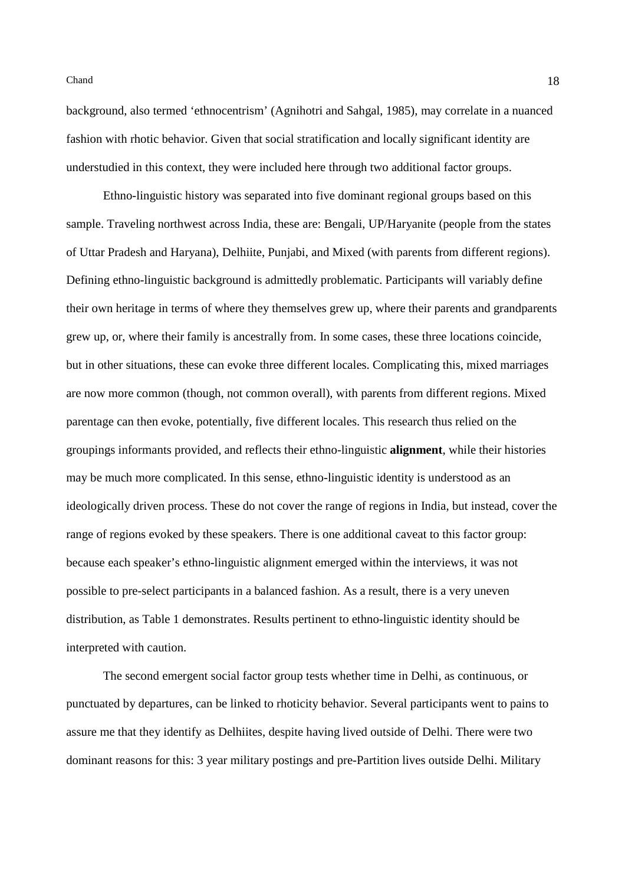background, also termed 'ethnocentrism' (Agnihotri and Sahgal, 1985), may correlate in a nuanced fashion with rhotic behavior. Given that social stratification and locally significant identity are understudied in this context, they were included here through two additional factor groups.

Ethno-linguistic history was separated into five dominant regional groups based on this sample. Traveling northwest across India, these are: Bengali, UP/Haryanite (people from the states of Uttar Pradesh and Haryana), Delhiite, Punjabi, and Mixed (with parents from different regions). Defining ethno-linguistic background is admittedly problematic. Participants will variably define their own heritage in terms of where they themselves grew up, where their parents and grandparents grew up, or, where their family is ancestrally from. In some cases, these three locations coincide, but in other situations, these can evoke three different locales. Complicating this, mixed marriages are now more common (though, not common overall), with parents from different regions. Mixed parentage can then evoke, potentially, five different locales. This research thus relied on the groupings informants provided, and reflects their ethno-linguistic **alignment**, while their histories may be much more complicated. In this sense, ethno-linguistic identity is understood as an ideologically driven process. These do not cover the range of regions in India, but instead, cover the range of regions evoked by these speakers. There is one additional caveat to this factor group: because each speaker's ethno-linguistic alignment emerged within the interviews, it was not possible to pre-select participants in a balanced fashion. As a result, there is a very uneven distribution, as Table 1 demonstrates. Results pertinent to ethno-linguistic identity should be interpreted with caution.

The second emergent social factor group tests whether time in Delhi, as continuous, or punctuated by departures, can be linked to rhoticity behavior. Several participants went to pains to assure me that they identify as Delhiites, despite having lived outside of Delhi. There were two dominant reasons for this: 3 year military postings and pre-Partition lives outside Delhi. Military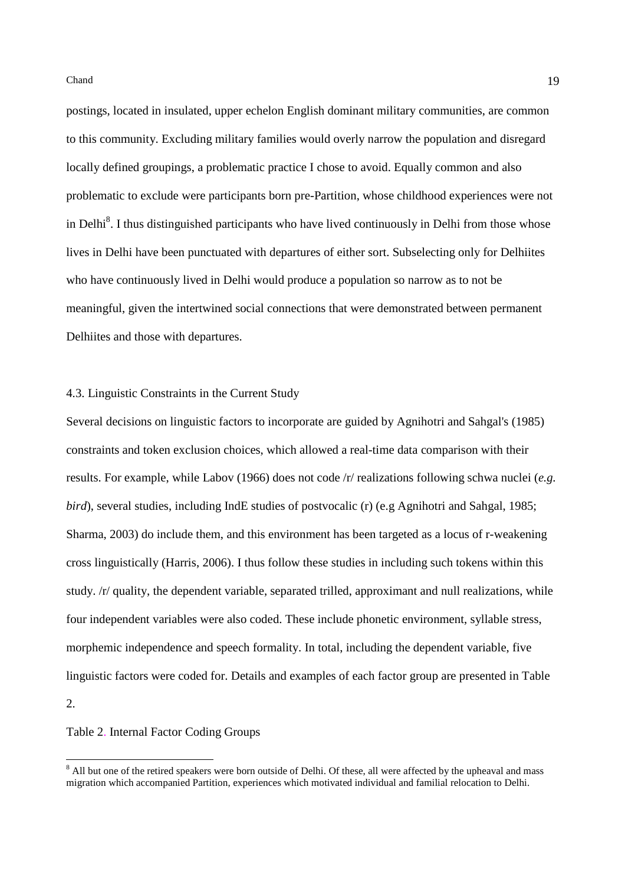postings, located in insulated, upper echelon English dominant military communities, are common to this community. Excluding military families would overly narrow the population and disregard locally defined groupings, a problematic practice I chose to avoid. Equally common and also problematic to exclude were participants born pre-Partition, whose childhood experiences were not in Delhi<sup>8</sup>. I thus distinguished participants who have lived continuously in Delhi from those whose lives in Delhi have been punctuated with departures of either sort. Subselecting only for Delhiites who have continuously lived in Delhi would produce a population so narrow as to not be meaningful, given the intertwined social connections that were demonstrated between permanent Delhiites and those with departures.

# 4.3. Linguistic Constraints in the Current Study

Several decisions on linguistic factors to incorporate are guided by Agnihotri and Sahgal's (1985) constraints and token exclusion choices, which allowed a real-time data comparison with their results. For example, while Labov (1966) does not code /r/ realizations following schwa nuclei (*e.g. bird*), several studies, including IndE studies of postvocalic (r) (e.g Agnihotri and Sahgal, 1985; Sharma, 2003) do include them, and this environment has been targeted as a locus of r-weakening cross linguistically (Harris, 2006). I thus follow these studies in including such tokens within this study. /r/ quality, the dependent variable, separated trilled, approximant and null realizations, while four independent variables were also coded. These include phonetic environment, syllable stress, morphemic independence and speech formality. In total, including the dependent variable, five linguistic factors were coded for. Details and examples of each factor group are presented in Table 2.

#### Table 2. Internal Factor Coding Groups

l

<sup>&</sup>lt;sup>8</sup> All but one of the retired speakers were born outside of Delhi. Of these, all were affected by the upheaval and mass migration which accompanied Partition, experiences which motivated individual and familial relocation to Delhi.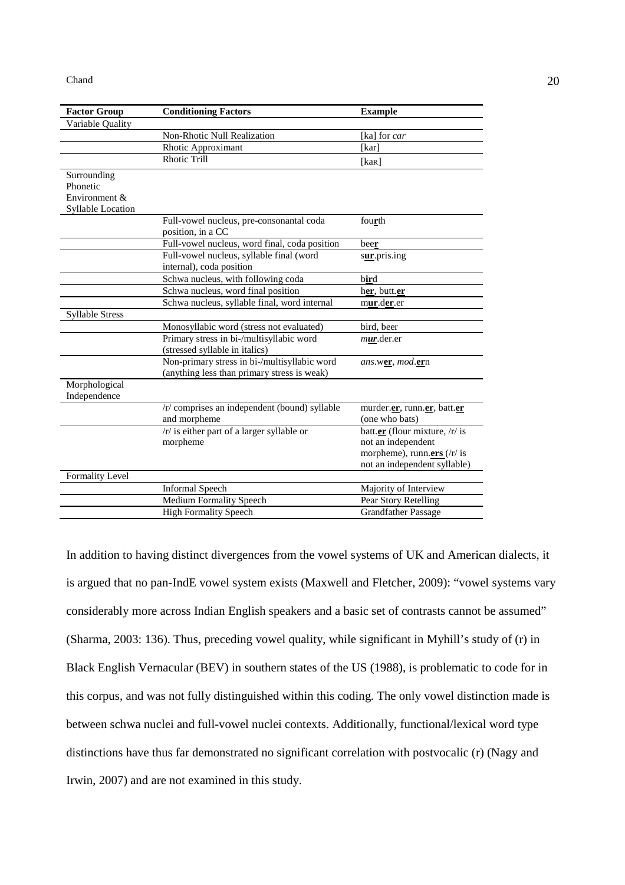| <b>Factor Group</b>    | <b>Conditioning Factors</b>                                   | <b>Example</b>                                     |
|------------------------|---------------------------------------------------------------|----------------------------------------------------|
| Variable Quality       |                                                               |                                                    |
|                        | Non-Rhotic Null Realization                                   | [ka] for car                                       |
|                        | Rhotic Approximant                                            | [kar]                                              |
|                        | <b>Rhotic Trill</b>                                           | [ $k$ ar]                                          |
| Surrounding            |                                                               |                                                    |
| Phonetic               |                                                               |                                                    |
| Environment &          |                                                               |                                                    |
| Syllable Location      |                                                               |                                                    |
|                        | Full-vowel nucleus, pre-consonantal coda<br>position, in a CC | fourth                                             |
|                        | Full-vowel nucleus, word final, coda position                 | beer                                               |
|                        | Full-vowel nucleus, syllable final (word                      | sur.pris.ing                                       |
|                        | internal), coda position                                      |                                                    |
|                        | Schwa nucleus, with following coda                            | bird                                               |
|                        | Schwa nucleus, word final position                            | her, butt.er                                       |
|                        | Schwa nucleus, syllable final, word internal                  | mur.der.er                                         |
| <b>Syllable Stress</b> |                                                               |                                                    |
|                        | Monosyllabic word (stress not evaluated)                      | bird, beer                                         |
|                        | Primary stress in bi-/multisyllabic word                      | mur.der.er                                         |
|                        | (stressed syllable in italics)                                |                                                    |
|                        | Non-primary stress in bi-/multisyllabic word                  | <i>ans.wer, mod.ern</i>                            |
|                        | (anything less than primary stress is weak)                   |                                                    |
| Morphological          |                                                               |                                                    |
| Independence           |                                                               |                                                    |
|                        | /r/ comprises an independent (bound) syllable                 | murder.er, runn.er, batt.er                        |
|                        | and morpheme                                                  | (one who bats)                                     |
|                        | /r/ is either part of a larger syllable or                    | batt.er (flour mixture, /r/ is                     |
|                        | morpheme                                                      | not an independent                                 |
|                        |                                                               | morpheme), runn.ers $\frac{r}{r}$ is               |
|                        |                                                               | not an independent syllable)                       |
| Formality Level        |                                                               |                                                    |
|                        | <b>Informal Speech</b>                                        | Majority of Interview                              |
|                        | Medium Formality Speech                                       | Pear Story Retelling<br><b>Grandfather Passage</b> |
|                        | <b>High Formality Speech</b>                                  |                                                    |

In addition to having distinct divergences from the vowel systems of UK and American dialects, it is argued that no pan-IndE vowel system exists (Maxwell and Fletcher, 2009): "vowel systems vary considerably more across Indian English speakers and a basic set of contrasts cannot be assumed" (Sharma, 2003: 136). Thus, preceding vowel quality, while significant in Myhill's study of (r) in Black English Vernacular (BEV) in southern states of the US (1988), is problematic to code for in this corpus, and was not fully distinguished within this coding. The only vowel distinction made is between schwa nuclei and full-vowel nuclei contexts. Additionally, functional/lexical word type distinctions have thus far demonstrated no significant correlation with postvocalic (r) (Nagy and Irwin, 2007) and are not examined in this study.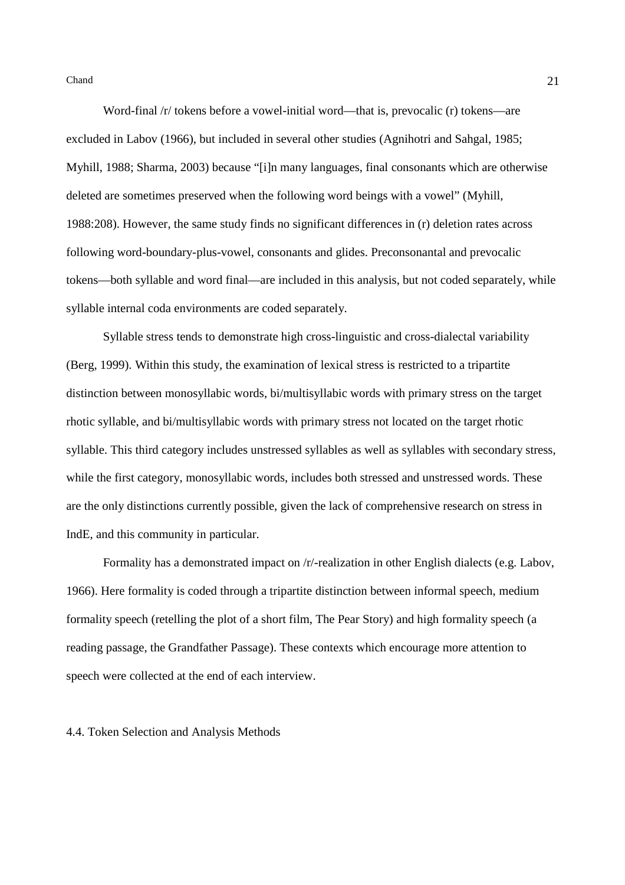Word-final /r/ tokens before a vowel-initial word—that is, prevocalic (r) tokens—are excluded in Labov (1966), but included in several other studies (Agnihotri and Sahgal, 1985; Myhill, 1988; Sharma, 2003) because "[i]n many languages, final consonants which are otherwise deleted are sometimes preserved when the following word beings with a vowel" (Myhill, 1988:208). However, the same study finds no significant differences in (r) deletion rates across following word-boundary-plus-vowel, consonants and glides. Preconsonantal and prevocalic tokens—both syllable and word final—are included in this analysis, but not coded separately, while syllable internal coda environments are coded separately.

Syllable stress tends to demonstrate high cross-linguistic and cross-dialectal variability (Berg, 1999). Within this study, the examination of lexical stress is restricted to a tripartite distinction between monosyllabic words, bi/multisyllabic words with primary stress on the target rhotic syllable, and bi/multisyllabic words with primary stress not located on the target rhotic syllable. This third category includes unstressed syllables as well as syllables with secondary stress, while the first category, monosyllabic words, includes both stressed and unstressed words. These are the only distinctions currently possible, given the lack of comprehensive research on stress in IndE, and this community in particular.

Formality has a demonstrated impact on /r/-realization in other English dialects (e.g. Labov, 1966). Here formality is coded through a tripartite distinction between informal speech, medium formality speech (retelling the plot of a short film, The Pear Story) and high formality speech (a reading passage, the Grandfather Passage). These contexts which encourage more attention to speech were collected at the end of each interview.

4.4. Token Selection and Analysis Methods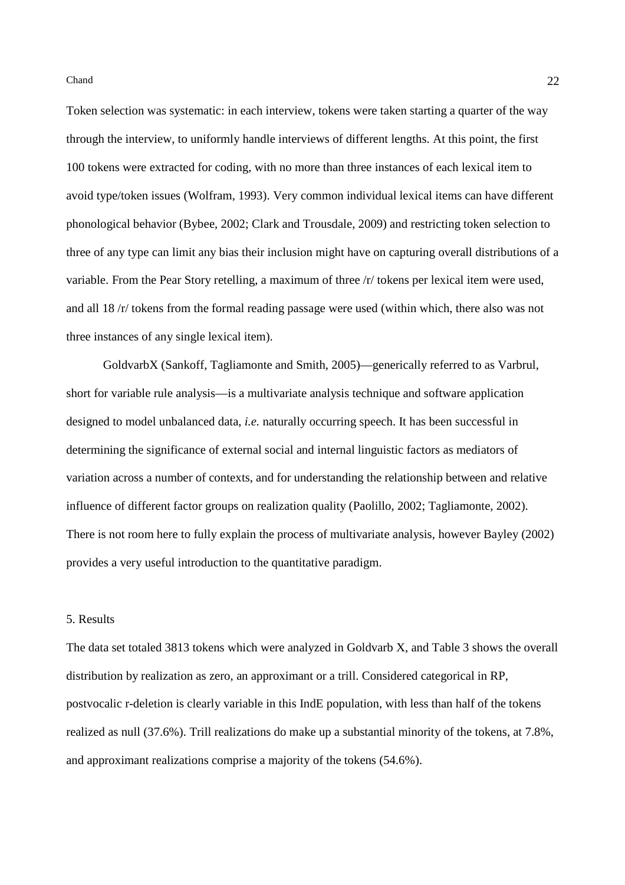Token selection was systematic: in each interview, tokens were taken starting a quarter of the way through the interview, to uniformly handle interviews of different lengths. At this point, the first 100 tokens were extracted for coding, with no more than three instances of each lexical item to avoid type/token issues (Wolfram, 1993). Very common individual lexical items can have different phonological behavior (Bybee, 2002; Clark and Trousdale, 2009) and restricting token selection to three of any type can limit any bias their inclusion might have on capturing overall distributions of a variable. From the Pear Story retelling, a maximum of three /r/ tokens per lexical item were used, and all 18 /r/ tokens from the formal reading passage were used (within which, there also was not three instances of any single lexical item).

GoldvarbX (Sankoff, Tagliamonte and Smith, 2005)—generically referred to as Varbrul, short for variable rule analysis—is a multivariate analysis technique and software application designed to model unbalanced data, *i.e.* naturally occurring speech. It has been successful in determining the significance of external social and internal linguistic factors as mediators of variation across a number of contexts, and for understanding the relationship between and relative influence of different factor groups on realization quality (Paolillo, 2002; Tagliamonte, 2002). There is not room here to fully explain the process of multivariate analysis, however Bayley (2002) provides a very useful introduction to the quantitative paradigm.

## 5. Results

The data set totaled 3813 tokens which were analyzed in Goldvarb X, and Table 3 shows the overall distribution by realization as zero, an approximant or a trill. Considered categorical in RP, postvocalic r-deletion is clearly variable in this IndE population, with less than half of the tokens realized as null (37.6%). Trill realizations do make up a substantial minority of the tokens, at 7.8%, and approximant realizations comprise a majority of the tokens (54.6%).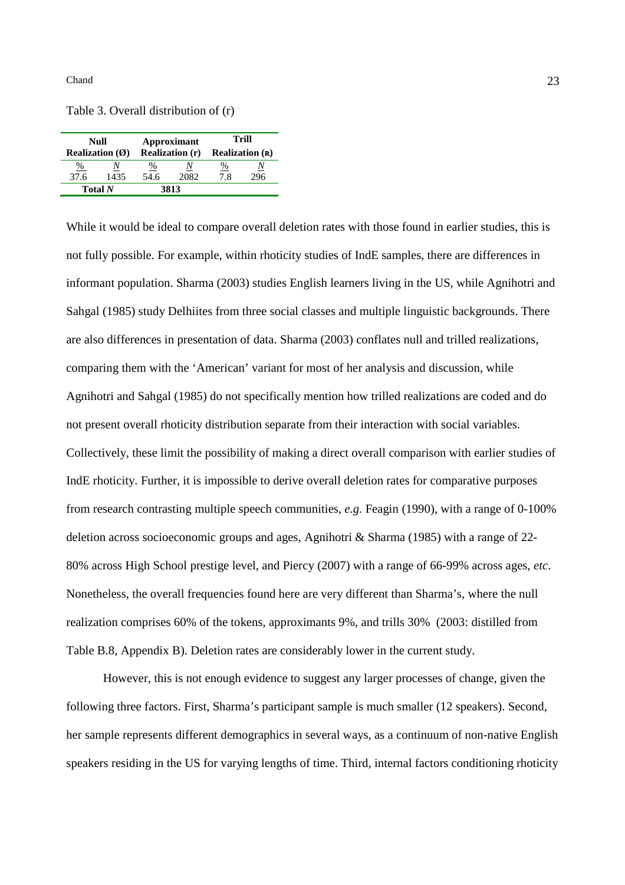Table 3. Overall distribution of (r)

| Null                             |      | Approximant            |      | Trill                           |     |
|----------------------------------|------|------------------------|------|---------------------------------|-----|
| <b>Realization</b> $(\emptyset)$ |      | <b>Realization (r)</b> |      | <b>Realization</b> ( <b>R</b> ) |     |
| $\frac{\%}{\%}$                  | 1435 | %                      | Ν    | <u>%</u>                        | Ν   |
| 37.6                             |      | 54.6                   | 2082 | 7.8                             | 296 |
| Total $N$                        |      |                        | 3813 |                                 |     |

While it would be ideal to compare overall deletion rates with those found in earlier studies, this is not fully possible. For example, within rhoticity studies of IndE samples, there are differences in informant population. Sharma (2003) studies English learners living in the US, while Agnihotri and Sahgal (1985) study Delhiites from three social classes and multiple linguistic backgrounds. There are also differences in presentation of data. Sharma (2003) conflates null and trilled realizations, comparing them with the 'American' variant for most of her analysis and discussion, while Agnihotri and Sahgal (1985) do not specifically mention how trilled realizations are coded and do not present overall rhoticity distribution separate from their interaction with social variables. Collectively, these limit the possibility of making a direct overall comparison with earlier studies of IndE rhoticity. Further, it is impossible to derive overall deletion rates for comparative purposes from research contrasting multiple speech communities, *e.g.* Feagin (1990), with a range of 0-100% deletion across socioeconomic groups and ages, Agnihotri & Sharma (1985) with a range of 22- 80% across High School prestige level, and Piercy (2007) with a range of 66-99% across ages, *etc*. Nonetheless, the overall frequencies found here are very different than Sharma's, where the null realization comprises 60% of the tokens, approximants 9%, and trills 30% (2003: distilled from Table B.8, Appendix B). Deletion rates are considerably lower in the current study.

However, this is not enough evidence to suggest any larger processes of change, given the following three factors. First, Sharma's participant sample is much smaller (12 speakers). Second, her sample represents different demographics in several ways, as a continuum of non-native English speakers residing in the US for varying lengths of time. Third, internal factors conditioning rhoticity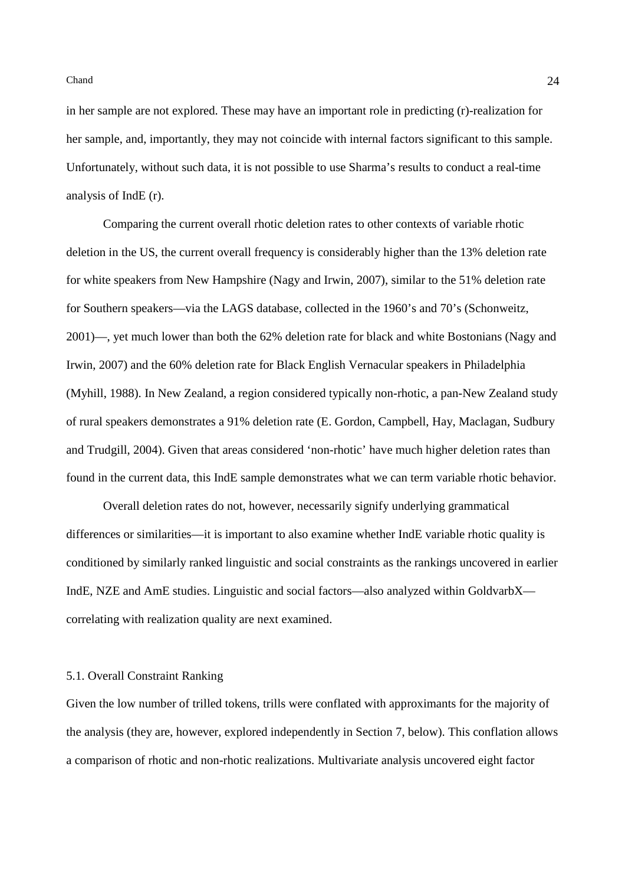in her sample are not explored. These may have an important role in predicting (r)-realization for her sample, and, importantly, they may not coincide with internal factors significant to this sample. Unfortunately, without such data, it is not possible to use Sharma's results to conduct a real-time analysis of IndE (r).

Comparing the current overall rhotic deletion rates to other contexts of variable rhotic deletion in the US, the current overall frequency is considerably higher than the 13% deletion rate for white speakers from New Hampshire (Nagy and Irwin, 2007), similar to the 51% deletion rate for Southern speakers—via the LAGS database, collected in the 1960's and 70's (Schonweitz, 2001)—, yet much lower than both the 62% deletion rate for black and white Bostonians (Nagy and Irwin, 2007) and the 60% deletion rate for Black English Vernacular speakers in Philadelphia (Myhill, 1988). In New Zealand, a region considered typically non-rhotic, a pan-New Zealand study of rural speakers demonstrates a 91% deletion rate (E. Gordon, Campbell, Hay, Maclagan, Sudbury and Trudgill, 2004). Given that areas considered 'non-rhotic' have much higher deletion rates than found in the current data, this IndE sample demonstrates what we can term variable rhotic behavior.

Overall deletion rates do not, however, necessarily signify underlying grammatical differences or similarities—it is important to also examine whether IndE variable rhotic quality is conditioned by similarly ranked linguistic and social constraints as the rankings uncovered in earlier IndE, NZE and AmE studies. Linguistic and social factors—also analyzed within GoldvarbX correlating with realization quality are next examined.

### 5.1. Overall Constraint Ranking

Given the low number of trilled tokens, trills were conflated with approximants for the majority of the analysis (they are, however, explored independently in Section 7, below). This conflation allows a comparison of rhotic and non-rhotic realizations. Multivariate analysis uncovered eight factor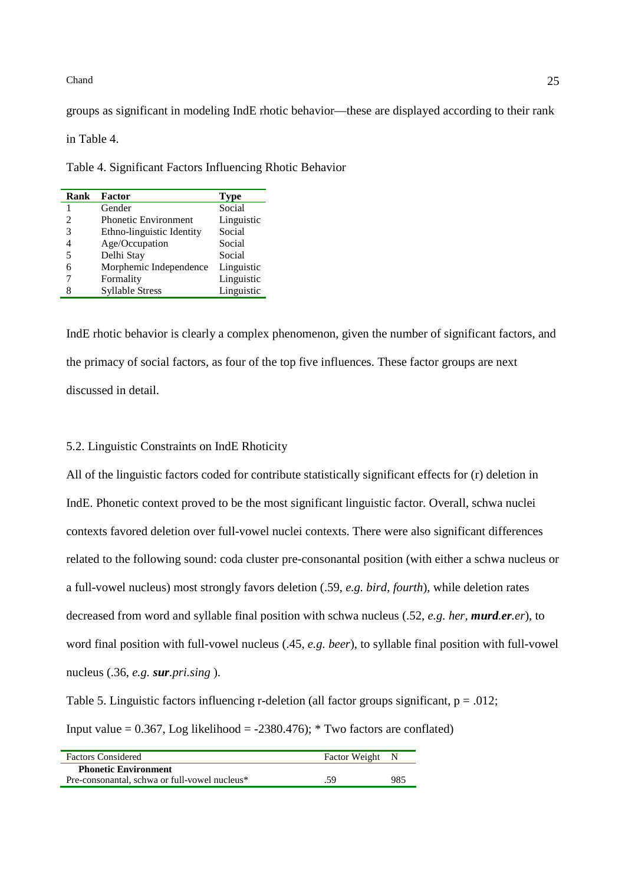groups as significant in modeling IndE rhotic behavior—these are displayed according to their rank

in Table 4.

Table 4. Significant Factors Influencing Rhotic Behavior

| Rank | <b>Factor</b>               | <b>Type</b> |
|------|-----------------------------|-------------|
|      | Gender                      | Social      |
| 2    | <b>Phonetic Environment</b> | Linguistic  |
| 3    | Ethno-linguistic Identity   | Social      |
| 4    | Age/Occupation              | Social      |
| 5    | Delhi Stay                  | Social      |
| 6    | Morphemic Independence      | Linguistic  |
|      | Formality                   | Linguistic  |
| 8    | <b>Syllable Stress</b>      | Linguistic  |

IndE rhotic behavior is clearly a complex phenomenon, given the number of significant factors, and the primacy of social factors, as four of the top five influences. These factor groups are next discussed in detail.

# 5.2. Linguistic Constraints on IndE Rhoticity

All of the linguistic factors coded for contribute statistically significant effects for (r) deletion in IndE. Phonetic context proved to be the most significant linguistic factor. Overall, schwa nuclei contexts favored deletion over full-vowel nuclei contexts. There were also significant differences related to the following sound: coda cluster pre-consonantal position (with either a schwa nucleus or a full-vowel nucleus) most strongly favors deletion (.59, *e.g. bird*, *fourth*), while deletion rates decreased from word and syllable final position with schwa nucleus (.52, *e.g. her*, *murd.er.er*), to word final position with full-vowel nucleus (.45, *e.g. beer*), to syllable final position with full-vowel nucleus (.36, *e.g. sur.pri.sing* ).

Table 5. Linguistic factors influencing r-deletion (all factor groups significant,  $p = .012$ ; Input value =  $0.367$ , Log likelihood =  $-2380.476$ ; \* Two factors are conflated)

| <b>Factors Considered</b>                     | Factor Weight N |     |
|-----------------------------------------------|-----------------|-----|
| <b>Phonetic Environment</b>                   |                 |     |
| Pre-consonantal, schwa or full-vowel nucleus* | .59             | 985 |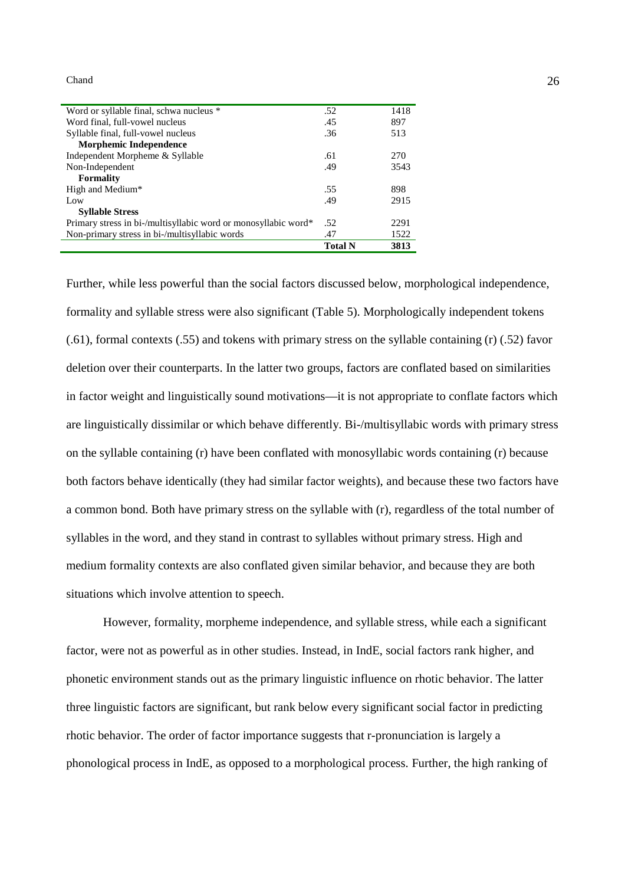| Word or syllable final, schwa nucleus *                        | .52            | 1418 |
|----------------------------------------------------------------|----------------|------|
| Word final, full-vowel nucleus                                 | .45            | 897  |
| Syllable final, full-vowel nucleus                             | .36            | 513  |
| Morphemic Independence                                         |                |      |
| Independent Morpheme & Syllable                                | .61            | 270  |
| Non-Independent                                                | .49            | 3543 |
| <b>Formality</b>                                               |                |      |
| High and Medium*                                               | .55            | 898  |
| Low                                                            | .49            | 2915 |
| <b>Syllable Stress</b>                                         |                |      |
| Primary stress in bi-/multisyllabic word or monosyllabic word* | .52            | 2291 |
| Non-primary stress in bi-/multisyllabic words                  | .47            | 1522 |
|                                                                | <b>Total N</b> | 3813 |

Further, while less powerful than the social factors discussed below, morphological independence, formality and syllable stress were also significant (Table 5). Morphologically independent tokens (.61), formal contexts (.55) and tokens with primary stress on the syllable containing (r) (.52) favor deletion over their counterparts. In the latter two groups, factors are conflated based on similarities in factor weight and linguistically sound motivations—it is not appropriate to conflate factors which are linguistically dissimilar or which behave differently. Bi-/multisyllabic words with primary stress on the syllable containing (r) have been conflated with monosyllabic words containing (r) because both factors behave identically (they had similar factor weights), and because these two factors have a common bond. Both have primary stress on the syllable with (r), regardless of the total number of syllables in the word, and they stand in contrast to syllables without primary stress. High and medium formality contexts are also conflated given similar behavior, and because they are both situations which involve attention to speech.

However, formality, morpheme independence, and syllable stress, while each a significant factor, were not as powerful as in other studies. Instead, in IndE, social factors rank higher, and phonetic environment stands out as the primary linguistic influence on rhotic behavior. The latter three linguistic factors are significant, but rank below every significant social factor in predicting rhotic behavior. The order of factor importance suggests that r-pronunciation is largely a phonological process in IndE, as opposed to a morphological process. Further, the high ranking of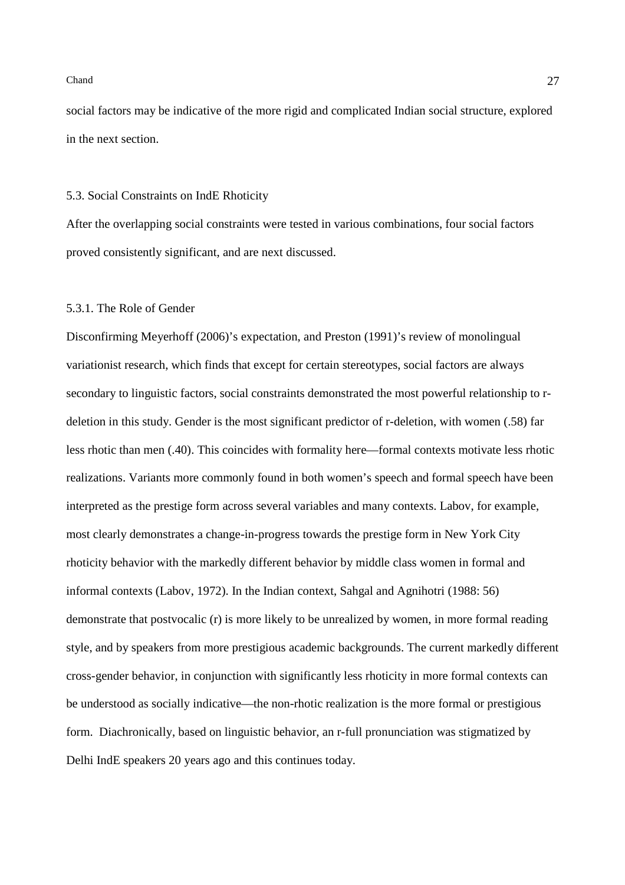social factors may be indicative of the more rigid and complicated Indian social structure, explored in the next section.

#### 5.3. Social Constraints on IndE Rhoticity

After the overlapping social constraints were tested in various combinations, four social factors proved consistently significant, and are next discussed.

# 5.3.1. The Role of Gender

Disconfirming Meyerhoff (2006)'s expectation, and Preston (1991)'s review of monolingual variationist research, which finds that except for certain stereotypes, social factors are always secondary to linguistic factors, social constraints demonstrated the most powerful relationship to rdeletion in this study. Gender is the most significant predictor of r-deletion, with women (.58) far less rhotic than men (.40). This coincides with formality here—formal contexts motivate less rhotic realizations. Variants more commonly found in both women's speech and formal speech have been interpreted as the prestige form across several variables and many contexts. Labov, for example, most clearly demonstrates a change-in-progress towards the prestige form in New York City rhoticity behavior with the markedly different behavior by middle class women in formal and informal contexts (Labov, 1972). In the Indian context, Sahgal and Agnihotri (1988: 56) demonstrate that postvocalic (r) is more likely to be unrealized by women, in more formal reading style, and by speakers from more prestigious academic backgrounds. The current markedly different cross-gender behavior, in conjunction with significantly less rhoticity in more formal contexts can be understood as socially indicative—the non-rhotic realization is the more formal or prestigious form. Diachronically, based on linguistic behavior, an r-full pronunciation was stigmatized by Delhi IndE speakers 20 years ago and this continues today.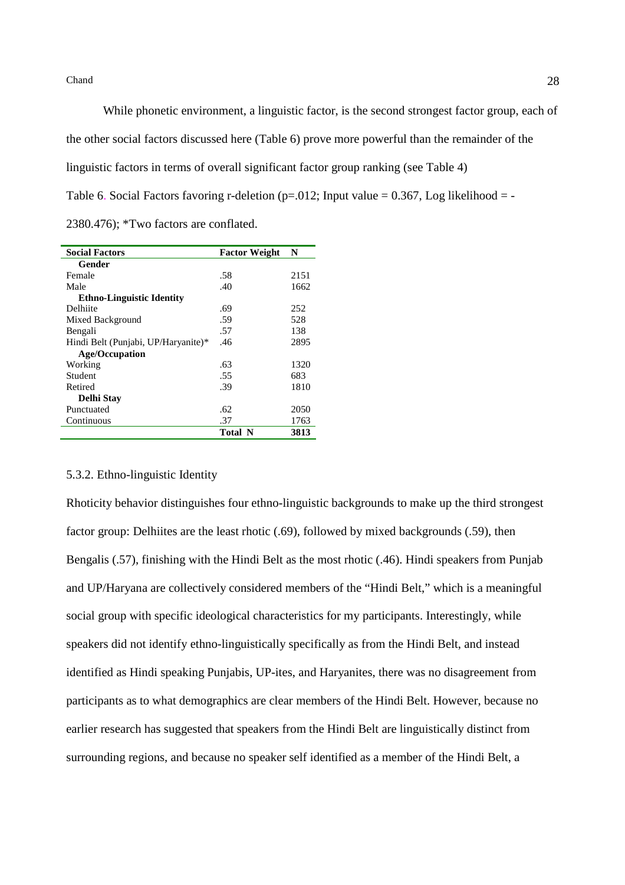While phonetic environment, a linguistic factor, is the second strongest factor group, each of the other social factors discussed here (Table 6) prove more powerful than the remainder of the linguistic factors in terms of overall significant factor group ranking (see Table 4) Table 6. Social Factors favoring r-deletion (p=.012; Input value =  $0.367$ , Log likelihood = -2380.476); \*Two factors are conflated.

| <b>Social Factors</b>               | <b>Factor Weight</b> | N    |
|-------------------------------------|----------------------|------|
| Gender                              |                      |      |
| Female                              | .58                  | 2151 |
| Male                                | .40                  | 1662 |
| <b>Ethno-Linguistic Identity</b>    |                      |      |
| Delhiite                            | .69                  | 252  |
| Mixed Background                    | .59                  | 528  |
| Bengali                             | .57                  | 138  |
| Hindi Belt (Punjabi, UP/Haryanite)* | .46                  | 2895 |
| <b>Age/Occupation</b>               |                      |      |
| Working                             | .63                  | 1320 |
| Student                             | .55                  | 683  |
| Retired                             | .39                  | 1810 |
| <b>Delhi Stav</b>                   |                      |      |
| Punctuated                          | .62                  | 2050 |
| Continuous                          | .37                  | 1763 |
|                                     | <b>Total N</b>       | 3813 |

## 5.3.2. Ethno-linguistic Identity

Rhoticity behavior distinguishes four ethno-linguistic backgrounds to make up the third strongest factor group: Delhiites are the least rhotic (.69), followed by mixed backgrounds (.59), then Bengalis (.57), finishing with the Hindi Belt as the most rhotic (.46). Hindi speakers from Punjab and UP/Haryana are collectively considered members of the "Hindi Belt," which is a meaningful social group with specific ideological characteristics for my participants. Interestingly, while speakers did not identify ethno-linguistically specifically as from the Hindi Belt, and instead identified as Hindi speaking Punjabis, UP-ites, and Haryanites, there was no disagreement from participants as to what demographics are clear members of the Hindi Belt. However, because no earlier research has suggested that speakers from the Hindi Belt are linguistically distinct from surrounding regions, and because no speaker self identified as a member of the Hindi Belt, a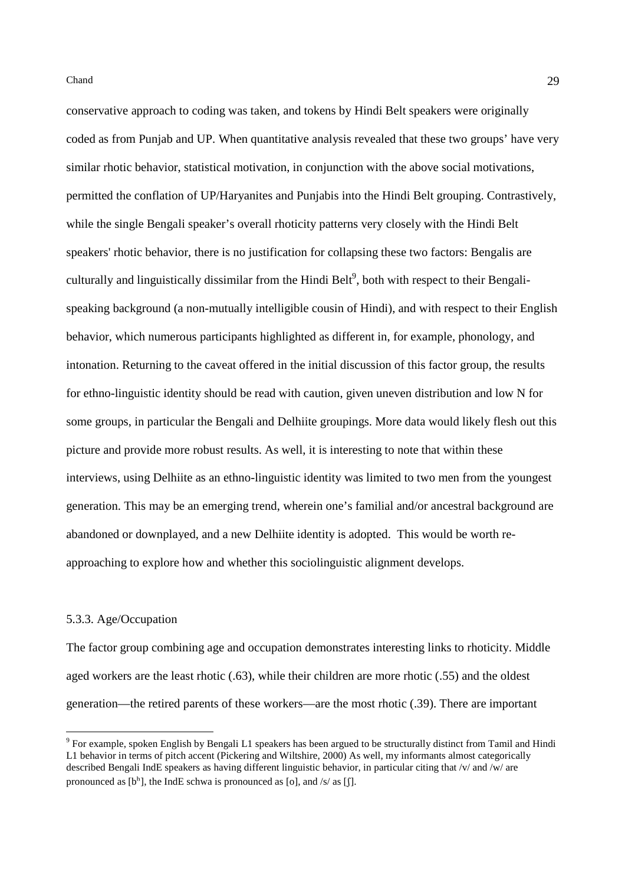conservative approach to coding was taken, and tokens by Hindi Belt speakers were originally coded as from Punjab and UP. When quantitative analysis revealed that these two groups' have very similar rhotic behavior, statistical motivation, in conjunction with the above social motivations, permitted the conflation of UP/Haryanites and Punjabis into the Hindi Belt grouping. Contrastively, while the single Bengali speaker's overall rhoticity patterns very closely with the Hindi Belt speakers' rhotic behavior, there is no justification for collapsing these two factors: Bengalis are culturally and linguistically dissimilar from the Hindi Belt $\textsuperscript{9}$ , both with respect to their Bengalispeaking background (a non-mutually intelligible cousin of Hindi), and with respect to their English behavior, which numerous participants highlighted as different in, for example, phonology, and intonation. Returning to the caveat offered in the initial discussion of this factor group, the results for ethno-linguistic identity should be read with caution, given uneven distribution and low N for some groups, in particular the Bengali and Delhiite groupings. More data would likely flesh out this picture and provide more robust results. As well, it is interesting to note that within these interviews, using Delhiite as an ethno-linguistic identity was limited to two men from the youngest generation. This may be an emerging trend, wherein one's familial and/or ancestral background are abandoned or downplayed, and a new Delhiite identity is adopted. This would be worth reapproaching to explore how and whether this sociolinguistic alignment develops.

## 5.3.3. Age/Occupation

 $\overline{a}$ 

The factor group combining age and occupation demonstrates interesting links to rhoticity. Middle aged workers are the least rhotic (.63), while their children are more rhotic (.55) and the oldest generation—the retired parents of these workers—are the most rhotic (.39). There are important

<sup>&</sup>lt;sup>9</sup> For example, spoken English by Bengali L1 speakers has been argued to be structurally distinct from Tamil and Hindi L1 behavior in terms of pitch accent (Pickering and Wiltshire, 2000) As well, my informants almost categorically described Bengali IndE speakers as having different linguistic behavior, in particular citing that /v/ and /w/ are pronounced as  $[b^h]$ , the IndE schwa is pronounced as  $[o]$ , and  $/s$  as  $[[]$ .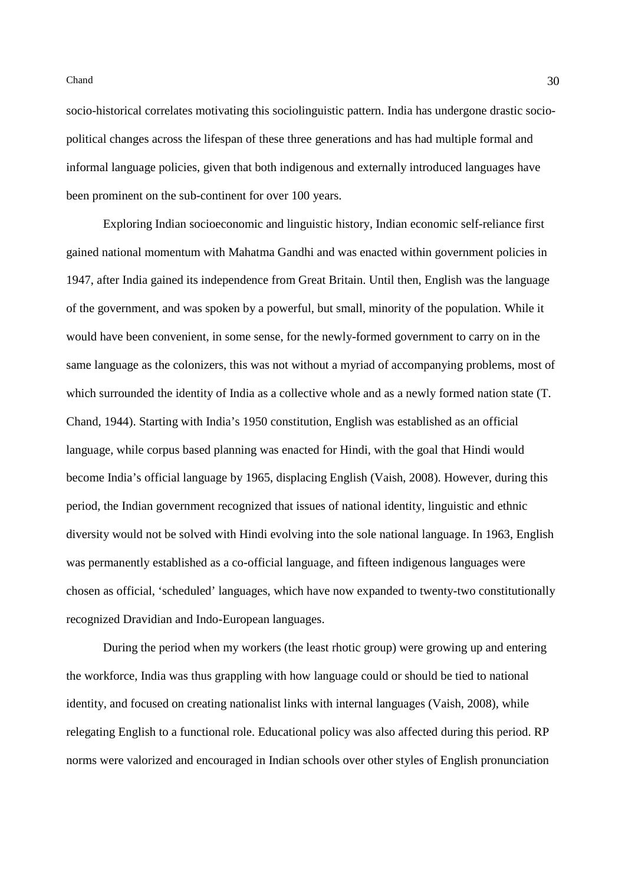socio-historical correlates motivating this sociolinguistic pattern. India has undergone drastic sociopolitical changes across the lifespan of these three generations and has had multiple formal and informal language policies, given that both indigenous and externally introduced languages have been prominent on the sub-continent for over 100 years.

Exploring Indian socioeconomic and linguistic history, Indian economic self-reliance first gained national momentum with Mahatma Gandhi and was enacted within government policies in 1947, after India gained its independence from Great Britain. Until then, English was the language of the government, and was spoken by a powerful, but small, minority of the population. While it would have been convenient, in some sense, for the newly-formed government to carry on in the same language as the colonizers, this was not without a myriad of accompanying problems, most of which surrounded the identity of India as a collective whole and as a newly formed nation state (T. Chand, 1944). Starting with India's 1950 constitution, English was established as an official language, while corpus based planning was enacted for Hindi, with the goal that Hindi would become India's official language by 1965, displacing English (Vaish, 2008). However, during this period, the Indian government recognized that issues of national identity, linguistic and ethnic diversity would not be solved with Hindi evolving into the sole national language. In 1963, English was permanently established as a co-official language, and fifteen indigenous languages were chosen as official, 'scheduled' languages, which have now expanded to twenty-two constitutionally recognized Dravidian and Indo-European languages.

During the period when my workers (the least rhotic group) were growing up and entering the workforce, India was thus grappling with how language could or should be tied to national identity, and focused on creating nationalist links with internal languages (Vaish, 2008), while relegating English to a functional role. Educational policy was also affected during this period. RP norms were valorized and encouraged in Indian schools over other styles of English pronunciation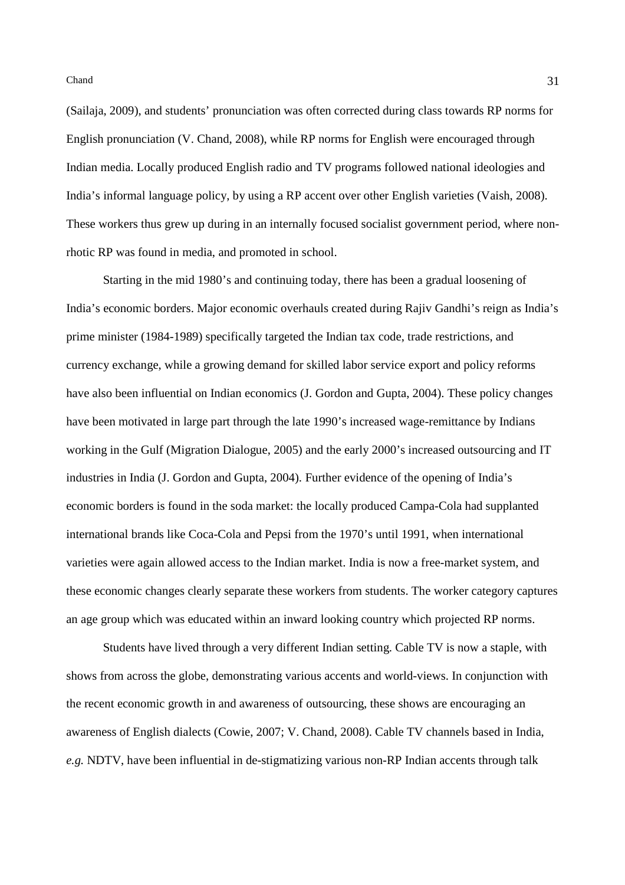(Sailaja, 2009), and students' pronunciation was often corrected during class towards RP norms for English pronunciation (V. Chand, 2008), while RP norms for English were encouraged through Indian media. Locally produced English radio and TV programs followed national ideologies and India's informal language policy, by using a RP accent over other English varieties (Vaish, 2008). These workers thus grew up during in an internally focused socialist government period, where nonrhotic RP was found in media, and promoted in school.

Starting in the mid 1980's and continuing today, there has been a gradual loosening of India's economic borders. Major economic overhauls created during Rajiv Gandhi's reign as India's prime minister (1984-1989) specifically targeted the Indian tax code, trade restrictions, and currency exchange, while a growing demand for skilled labor service export and policy reforms have also been influential on Indian economics (J. Gordon and Gupta, 2004). These policy changes have been motivated in large part through the late 1990's increased wage-remittance by Indians working in the Gulf (Migration Dialogue, 2005) and the early 2000's increased outsourcing and IT industries in India (J. Gordon and Gupta, 2004). Further evidence of the opening of India's economic borders is found in the soda market: the locally produced Campa-Cola had supplanted international brands like Coca-Cola and Pepsi from the 1970's until 1991, when international varieties were again allowed access to the Indian market. India is now a free-market system, and these economic changes clearly separate these workers from students. The worker category captures an age group which was educated within an inward looking country which projected RP norms.

Students have lived through a very different Indian setting. Cable TV is now a staple, with shows from across the globe, demonstrating various accents and world-views. In conjunction with the recent economic growth in and awareness of outsourcing, these shows are encouraging an awareness of English dialects (Cowie, 2007; V. Chand, 2008). Cable TV channels based in India, *e.g.* NDTV, have been influential in de-stigmatizing various non-RP Indian accents through talk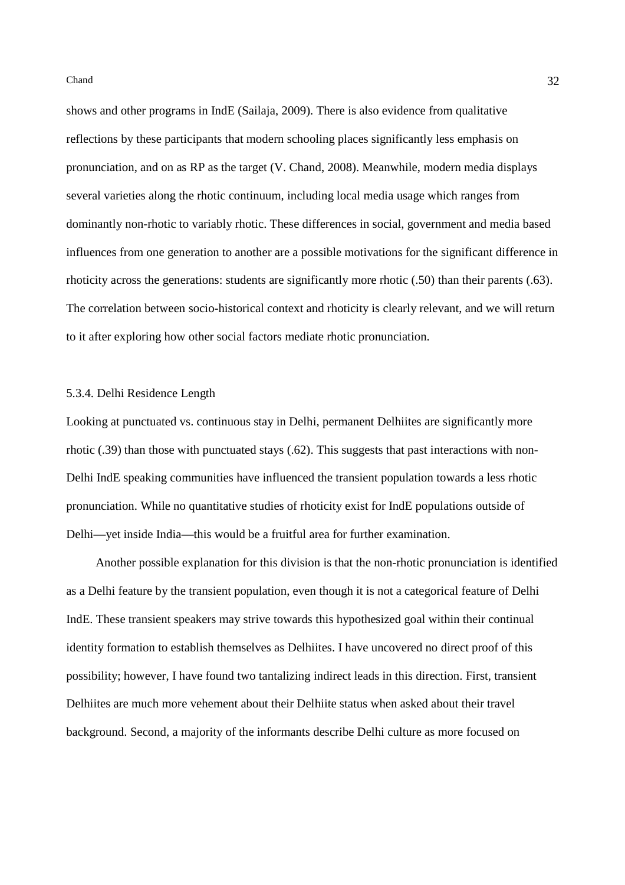shows and other programs in IndE (Sailaja, 2009). There is also evidence from qualitative reflections by these participants that modern schooling places significantly less emphasis on pronunciation, and on as RP as the target (V. Chand, 2008). Meanwhile, modern media displays several varieties along the rhotic continuum, including local media usage which ranges from dominantly non-rhotic to variably rhotic. These differences in social, government and media based influences from one generation to another are a possible motivations for the significant difference in rhoticity across the generations: students are significantly more rhotic (.50) than their parents (.63). The correlation between socio-historical context and rhoticity is clearly relevant, and we will return to it after exploring how other social factors mediate rhotic pronunciation.

# 5.3.4. Delhi Residence Length

Looking at punctuated vs. continuous stay in Delhi, permanent Delhiites are significantly more rhotic (.39) than those with punctuated stays (.62). This suggests that past interactions with non-Delhi IndE speaking communities have influenced the transient population towards a less rhotic pronunciation. While no quantitative studies of rhoticity exist for IndE populations outside of Delhi—yet inside India—this would be a fruitful area for further examination.

Another possible explanation for this division is that the non-rhotic pronunciation is identified as a Delhi feature by the transient population, even though it is not a categorical feature of Delhi IndE. These transient speakers may strive towards this hypothesized goal within their continual identity formation to establish themselves as Delhiites. I have uncovered no direct proof of this possibility; however, I have found two tantalizing indirect leads in this direction. First, transient Delhiites are much more vehement about their Delhiite status when asked about their travel background. Second, a majority of the informants describe Delhi culture as more focused on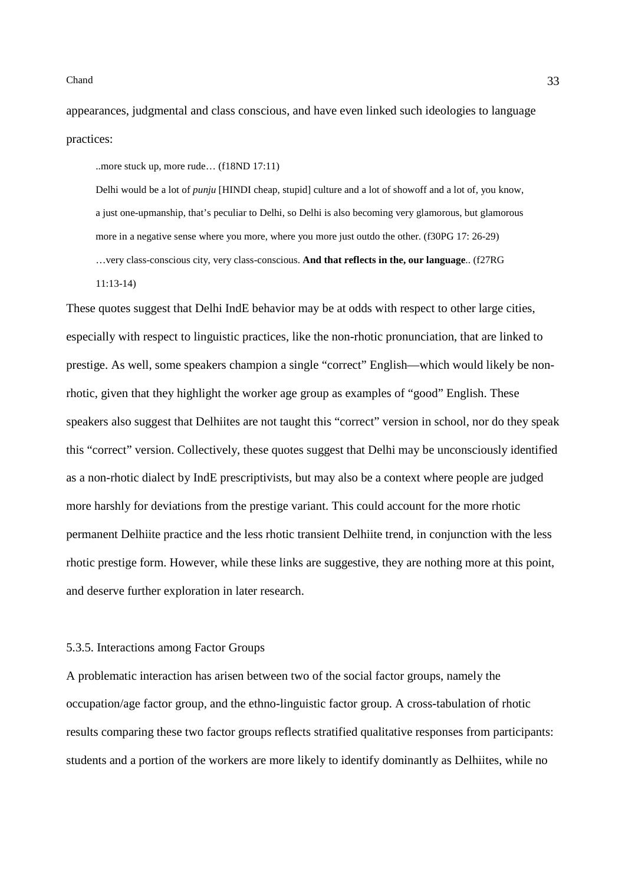appearances, judgmental and class conscious, and have even linked such ideologies to language practices:

..more stuck up, more rude… (f18ND 17:11)

Delhi would be a lot of *punju* [HINDI cheap, stupid] culture and a lot of showoff and a lot of, you know, a just one-upmanship, that's peculiar to Delhi, so Delhi is also becoming very glamorous, but glamorous more in a negative sense where you more, where you more just outdo the other. (f30PG 17: 26-29) …very class-conscious city, very class-conscious. **And that reflects in the, our language**.. (f27RG 11:13-14)

These quotes suggest that Delhi IndE behavior may be at odds with respect to other large cities, especially with respect to linguistic practices, like the non-rhotic pronunciation, that are linked to prestige. As well, some speakers champion a single "correct" English—which would likely be nonrhotic, given that they highlight the worker age group as examples of "good" English. These speakers also suggest that Delhiites are not taught this "correct" version in school, nor do they speak this "correct" version. Collectively, these quotes suggest that Delhi may be unconsciously identified as a non-rhotic dialect by IndE prescriptivists, but may also be a context where people are judged more harshly for deviations from the prestige variant. This could account for the more rhotic permanent Delhiite practice and the less rhotic transient Delhiite trend, in conjunction with the less rhotic prestige form. However, while these links are suggestive, they are nothing more at this point, and deserve further exploration in later research.

### 5.3.5. Interactions among Factor Groups

A problematic interaction has arisen between two of the social factor groups, namely the occupation/age factor group, and the ethno-linguistic factor group. A cross-tabulation of rhotic results comparing these two factor groups reflects stratified qualitative responses from participants: students and a portion of the workers are more likely to identify dominantly as Delhiites, while no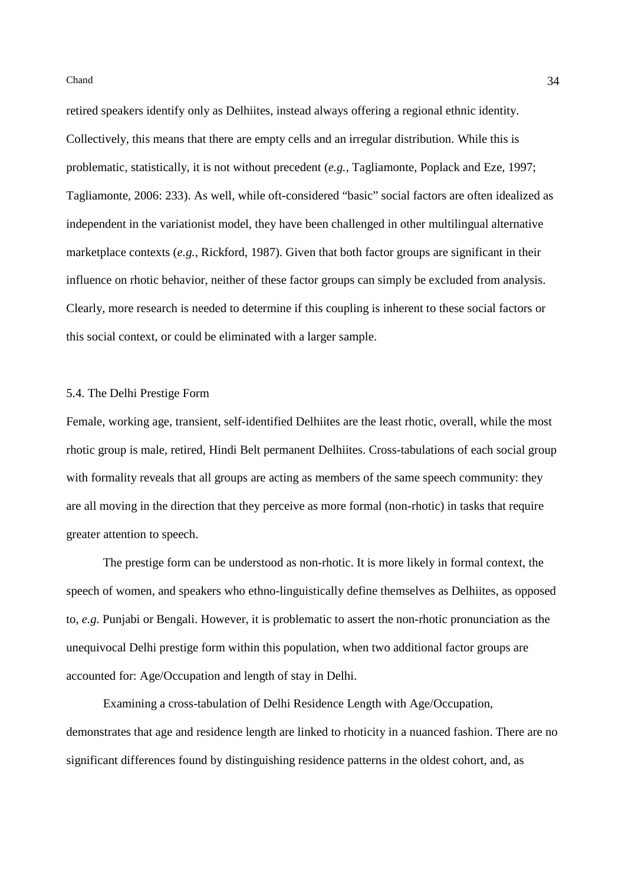retired speakers identify only as Delhiites, instead always offering a regional ethnic identity. Collectively, this means that there are empty cells and an irregular distribution. While this is problematic, statistically, it is not without precedent (*e.g.,* Tagliamonte, Poplack and Eze, 1997; Tagliamonte, 2006: 233). As well, while oft-considered "basic" social factors are often idealized as independent in the variationist model, they have been challenged in other multilingual alternative marketplace contexts (*e.g.,* Rickford, 1987). Given that both factor groups are significant in their influence on rhotic behavior, neither of these factor groups can simply be excluded from analysis. Clearly, more research is needed to determine if this coupling is inherent to these social factors or this social context, or could be eliminated with a larger sample.

# 5.4. The Delhi Prestige Form

Female, working age, transient, self-identified Delhiites are the least rhotic, overall, while the most rhotic group is male, retired, Hindi Belt permanent Delhiites. Cross-tabulations of each social group with formality reveals that all groups are acting as members of the same speech community: they are all moving in the direction that they perceive as more formal (non-rhotic) in tasks that require greater attention to speech.

The prestige form can be understood as non-rhotic. It is more likely in formal context, the speech of women, and speakers who ethno-linguistically define themselves as Delhiites, as opposed to, *e.g.* Punjabi or Bengali. However, it is problematic to assert the non-rhotic pronunciation as the unequivocal Delhi prestige form within this population, when two additional factor groups are accounted for: Age/Occupation and length of stay in Delhi.

Examining a cross-tabulation of Delhi Residence Length with Age/Occupation, demonstrates that age and residence length are linked to rhoticity in a nuanced fashion. There are no significant differences found by distinguishing residence patterns in the oldest cohort, and, as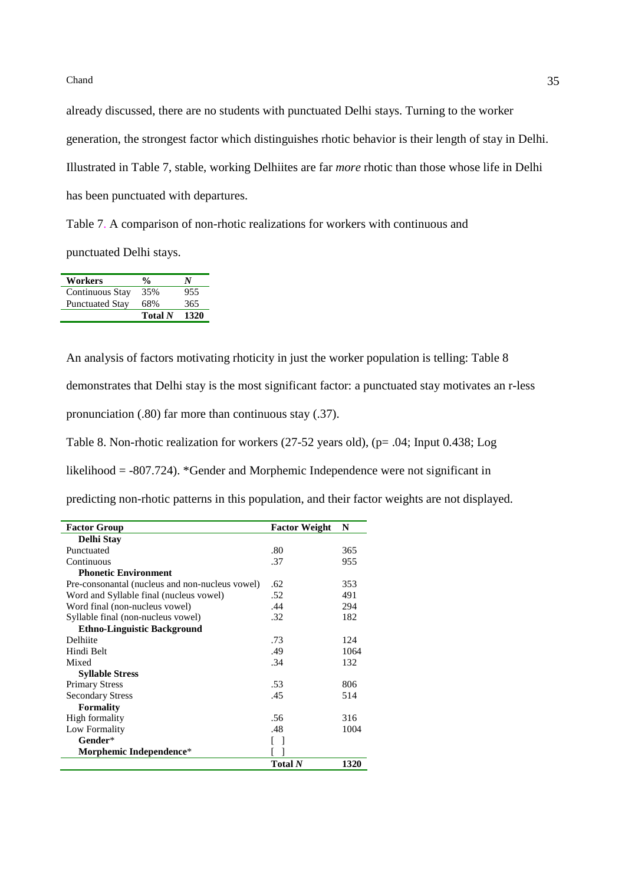already discussed, there are no students with punctuated Delhi stays. Turning to the worker generation, the strongest factor which distinguishes rhotic behavior is their length of stay in Delhi. Illustrated in Table 7, stable, working Delhiites are far *more* rhotic than those whose life in Delhi has been punctuated with departures.

Table 7. A comparison of non-rhotic realizations for workers with continuous and punctuated Delhi stays.

| Workers                | $\frac{0}{0}$  | N    |
|------------------------|----------------|------|
| Continuous Stay        | 35%            | 955  |
| <b>Punctuated Stay</b> | 68%            | 365  |
|                        | <b>Total</b> N | 1320 |

An analysis of factors motivating rhoticity in just the worker population is telling: Table 8 demonstrates that Delhi stay is the most significant factor: a punctuated stay motivates an r-less pronunciation (.80) far more than continuous stay (.37).

Table 8. Non-rhotic realization for workers (27-52 years old), (p= .04; Input 0.438; Log

likelihood = -807.724). \*Gender and Morphemic Independence were not significant in

predicting non-rhotic patterns in this population, and their factor weights are not displayed.

| <b>Factor Group</b>                             | <b>Factor Weight</b> | N    |
|-------------------------------------------------|----------------------|------|
| Delhi Stay                                      |                      |      |
| Punctuated                                      | .80                  | 365  |
| Continuous                                      | .37                  | 955  |
| <b>Phonetic Environment</b>                     |                      |      |
| Pre-consonantal (nucleus and non-nucleus vowel) | .62                  | 353  |
| Word and Syllable final (nucleus vowel)         | .52                  | 491  |
| Word final (non-nucleus vowel)                  | .44                  | 294  |
| Syllable final (non-nucleus vowel)              | .32                  | 182  |
| <b>Ethno-Linguistic Background</b>              |                      |      |
| Delhiite                                        | .73                  | 124  |
| Hindi Belt                                      | .49                  | 1064 |
| Mixed                                           | .34                  | 132  |
| <b>Syllable Stress</b>                          |                      |      |
| <b>Primary Stress</b>                           | .53                  | 806  |
| <b>Secondary Stress</b>                         | .45                  | 514  |
| <b>Formality</b>                                |                      |      |
| High formality                                  | .56                  | 316  |
| Low Formality                                   | .48                  | 1004 |
| Gender*                                         |                      |      |
| Morphemic Independence*                         |                      |      |
|                                                 | Total N              | 1320 |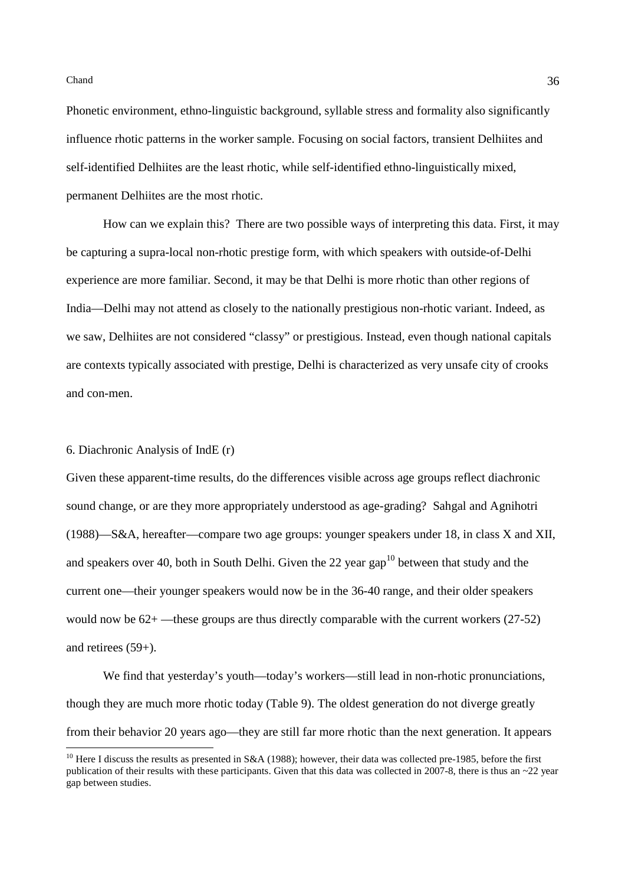Phonetic environment, ethno-linguistic background, syllable stress and formality also significantly influence rhotic patterns in the worker sample. Focusing on social factors, transient Delhiites and self-identified Delhiites are the least rhotic, while self-identified ethno-linguistically mixed, permanent Delhiites are the most rhotic.

How can we explain this? There are two possible ways of interpreting this data. First, it may be capturing a supra-local non-rhotic prestige form, with which speakers with outside-of-Delhi experience are more familiar. Second, it may be that Delhi is more rhotic than other regions of India—Delhi may not attend as closely to the nationally prestigious non-rhotic variant. Indeed, as we saw, Delhiites are not considered "classy" or prestigious. Instead, even though national capitals are contexts typically associated with prestige, Delhi is characterized as very unsafe city of crooks and con-men.

#### 6. Diachronic Analysis of IndE (r)

Given these apparent-time results, do the differences visible across age groups reflect diachronic sound change, or are they more appropriately understood as age-grading? Sahgal and Agnihotri (1988)—S&A, hereafter—compare two age groups: younger speakers under 18, in class X and XII, and speakers over 40, both in South Delhi. Given the 22 year gap<sup>10</sup> between that study and the current one—their younger speakers would now be in the 36-40 range, and their older speakers would now be  $62+$ —these groups are thus directly comparable with the current workers (27-52) and retirees (59+).

We find that vesterday's youth—today's workers—still lead in non-rhotic pronunciations, though they are much more rhotic today (Table 9). The oldest generation do not diverge greatly from their behavior 20 years ago—they are still far more rhotic than the next generation. It appears

<sup>&</sup>lt;sup>10</sup> Here I discuss the results as presented in S&A (1988); however, their data was collected pre-1985, before the first publication of their results with these participants. Given that this data was collected in 2007-8, there is thus an  $\sim$ 22 year gap between studies.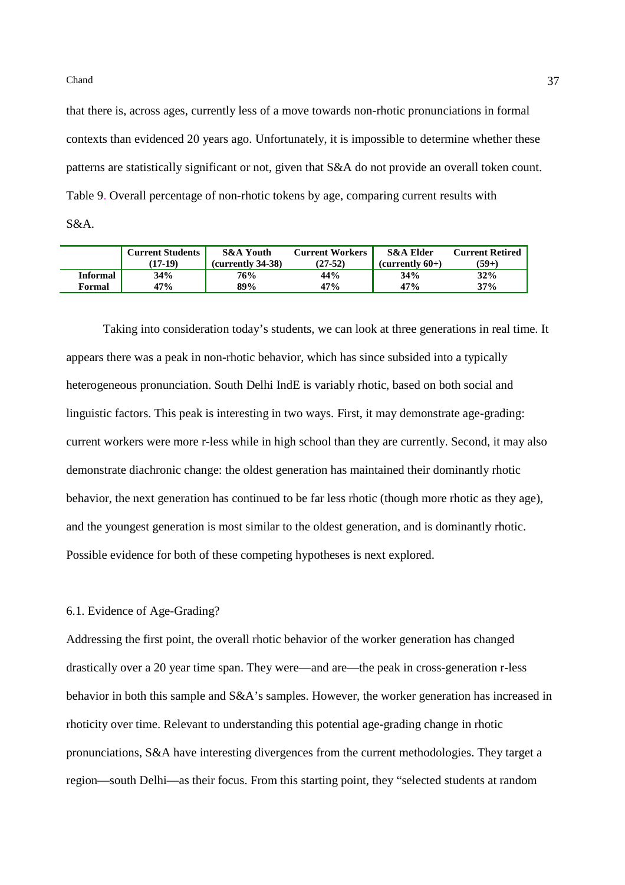that there is, across ages, currently less of a move towards non-rhotic pronunciations in formal contexts than evidenced 20 years ago. Unfortunately, it is impossible to determine whether these patterns are statistically significant or not, given that S&A do not provide an overall token count. Table 9. Overall percentage of non-rhotic tokens by age, comparing current results with S&A.

|                 | <b>Current Students</b><br>$(17-19)$ | <b>S&amp;A Youth</b><br>(currently 34-38) | <b>Current Workers</b><br>$(27-52)$ | S&A Elder<br>$(currentv 60+)$ | <b>Current Retired</b><br>$(59+)$ |
|-----------------|--------------------------------------|-------------------------------------------|-------------------------------------|-------------------------------|-----------------------------------|
| <b>Informal</b> | 34%                                  | 76%                                       | 44%                                 | 34%                           | 32%                               |
| Formal          | 47%                                  | 89%                                       | 47%                                 | 47%                           | 37%                               |

Taking into consideration today's students, we can look at three generations in real time. It appears there was a peak in non-rhotic behavior, which has since subsided into a typically heterogeneous pronunciation. South Delhi IndE is variably rhotic, based on both social and linguistic factors. This peak is interesting in two ways. First, it may demonstrate age-grading: current workers were more r-less while in high school than they are currently. Second, it may also demonstrate diachronic change: the oldest generation has maintained their dominantly rhotic behavior, the next generation has continued to be far less rhotic (though more rhotic as they age), and the youngest generation is most similar to the oldest generation, and is dominantly rhotic. Possible evidence for both of these competing hypotheses is next explored.

# 6.1. Evidence of Age-Grading?

Addressing the first point, the overall rhotic behavior of the worker generation has changed drastically over a 20 year time span. They were—and are—the peak in cross-generation r-less behavior in both this sample and S&A's samples. However, the worker generation has increased in rhoticity over time. Relevant to understanding this potential age-grading change in rhotic pronunciations, S&A have interesting divergences from the current methodologies. They target a region—south Delhi—as their focus. From this starting point, they "selected students at random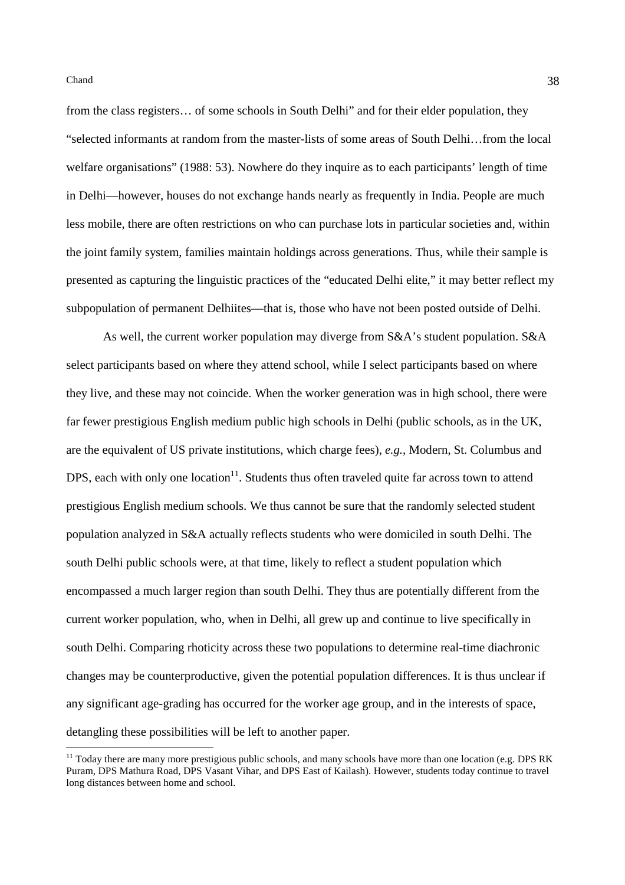from the class registers… of some schools in South Delhi" and for their elder population, they "selected informants at random from the master-lists of some areas of South Delhi…from the local welfare organisations" (1988: 53). Nowhere do they inquire as to each participants' length of time in Delhi—however, houses do not exchange hands nearly as frequently in India. People are much less mobile, there are often restrictions on who can purchase lots in particular societies and, within the joint family system, families maintain holdings across generations. Thus, while their sample is presented as capturing the linguistic practices of the "educated Delhi elite," it may better reflect my subpopulation of permanent Delhiites—that is, those who have not been posted outside of Delhi.

As well, the current worker population may diverge from S&A's student population. S&A select participants based on where they attend school, while I select participants based on where they live, and these may not coincide. When the worker generation was in high school, there were far fewer prestigious English medium public high schools in Delhi (public schools, as in the UK, are the equivalent of US private institutions, which charge fees), *e.g.*, Modern, St. Columbus and DPS, each with only one location<sup>11</sup>. Students thus often traveled quite far across town to attend prestigious English medium schools. We thus cannot be sure that the randomly selected student population analyzed in S&A actually reflects students who were domiciled in south Delhi. The south Delhi public schools were, at that time, likely to reflect a student population which encompassed a much larger region than south Delhi. They thus are potentially different from the current worker population, who, when in Delhi, all grew up and continue to live specifically in south Delhi. Comparing rhoticity across these two populations to determine real-time diachronic changes may be counterproductive, given the potential population differences. It is thus unclear if any significant age-grading has occurred for the worker age group, and in the interests of space, detangling these possibilities will be left to another paper.

 $11$  Today there are many more prestigious public schools, and many schools have more than one location (e.g. DPS RK Puram, DPS Mathura Road, DPS Vasant Vihar, and DPS East of Kailash). However, students today continue to travel long distances between home and school.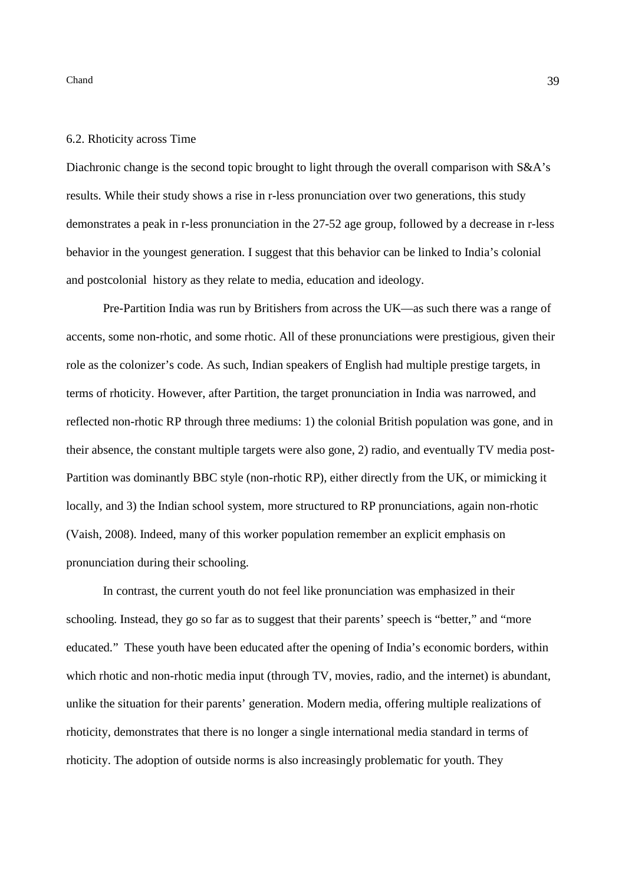#### 6.2. Rhoticity across Time

Diachronic change is the second topic brought to light through the overall comparison with S&A's results. While their study shows a rise in r-less pronunciation over two generations, this study demonstrates a peak in r-less pronunciation in the 27-52 age group, followed by a decrease in r-less behavior in the youngest generation. I suggest that this behavior can be linked to India's colonial and postcolonial history as they relate to media, education and ideology.

Pre-Partition India was run by Britishers from across the UK—as such there was a range of accents, some non-rhotic, and some rhotic. All of these pronunciations were prestigious, given their role as the colonizer's code. As such, Indian speakers of English had multiple prestige targets, in terms of rhoticity. However, after Partition, the target pronunciation in India was narrowed, and reflected non-rhotic RP through three mediums: 1) the colonial British population was gone, and in their absence, the constant multiple targets were also gone, 2) radio, and eventually TV media post-Partition was dominantly BBC style (non-rhotic RP), either directly from the UK, or mimicking it locally, and 3) the Indian school system, more structured to RP pronunciations, again non-rhotic (Vaish, 2008). Indeed, many of this worker population remember an explicit emphasis on pronunciation during their schooling.

In contrast, the current youth do not feel like pronunciation was emphasized in their schooling. Instead, they go so far as to suggest that their parents' speech is "better," and "more educated." These youth have been educated after the opening of India's economic borders, within which rhotic and non-rhotic media input (through TV, movies, radio, and the internet) is abundant, unlike the situation for their parents' generation. Modern media, offering multiple realizations of rhoticity, demonstrates that there is no longer a single international media standard in terms of rhoticity. The adoption of outside norms is also increasingly problematic for youth. They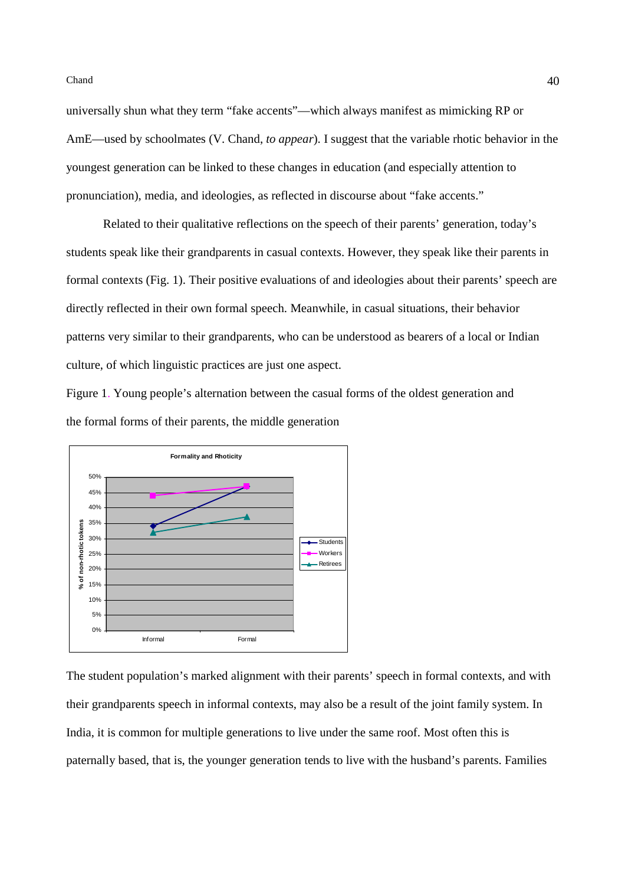$40<sub>40</sub>$ 

universally shun what they term "fake accents"—which always manifest as mimicking RP or AmE—used by schoolmates (V. Chand, *to appear*). I suggest that the variable rhotic behavior in the youngest generation can be linked to these changes in education (and especially attention to pronunciation), media, and ideologies, as reflected in discourse about "fake accents."

Related to their qualitative reflections on the speech of their parents' generation, today's students speak like their grandparents in casual contexts. However, they speak like their parents in formal contexts (Fig. 1). Their positive evaluations of and ideologies about their parents' speech are directly reflected in their own formal speech. Meanwhile, in casual situations, their behavior patterns very similar to their grandparents, who can be understood as bearers of a local or Indian culture, of which linguistic practices are just one aspect.

Figure 1. Young people's alternation between the casual forms of the oldest generation and the formal forms of their parents, the middle generation



The student population's marked alignment with their parents' speech in formal contexts, and with their grandparents speech in informal contexts, may also be a result of the joint family system. In India, it is common for multiple generations to live under the same roof. Most often this is paternally based, that is, the younger generation tends to live with the husband's parents. Families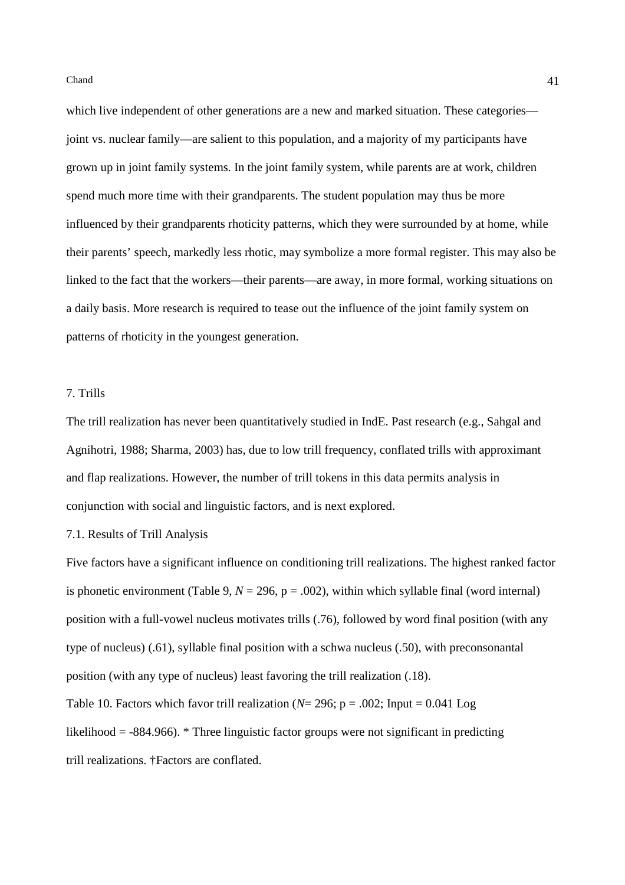which live independent of other generations are a new and marked situation. These categories joint vs. nuclear family—are salient to this population, and a majority of my participants have grown up in joint family systems. In the joint family system, while parents are at work, children spend much more time with their grandparents. The student population may thus be more influenced by their grandparents rhoticity patterns, which they were surrounded by at home, while their parents' speech, markedly less rhotic, may symbolize a more formal register. This may also be linked to the fact that the workers—their parents—are away, in more formal, working situations on a daily basis. More research is required to tease out the influence of the joint family system on patterns of rhoticity in the youngest generation.

## 7. Trills

The trill realization has never been quantitatively studied in IndE. Past research (e.g., Sahgal and Agnihotri, 1988; Sharma, 2003) has, due to low trill frequency, conflated trills with approximant and flap realizations. However, the number of trill tokens in this data permits analysis in conjunction with social and linguistic factors, and is next explored.

#### 7.1. Results of Trill Analysis

Five factors have a significant influence on conditioning trill realizations. The highest ranked factor is phonetic environment (Table 9,  $N = 296$ ,  $p = .002$ ), within which syllable final (word internal) position with a full-vowel nucleus motivates trills (.76), followed by word final position (with any type of nucleus) (.61), syllable final position with a schwa nucleus (.50), with preconsonantal position (with any type of nucleus) least favoring the trill realization (.18).

Table 10. Factors which favor trill realization ( $N=296$ ;  $p=.002$ ; Input = 0.041 Log likelihood  $=$  -884.966).  $*$  Three linguistic factor groups were not significant in predicting trill realizations. †Factors are conflated.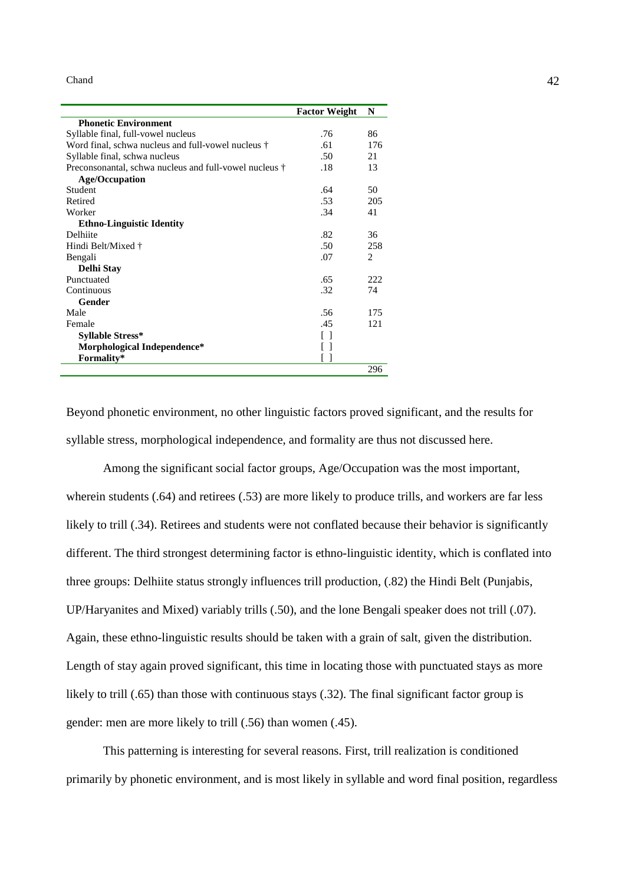|                                                        | <b>Factor Weight</b> | N              |
|--------------------------------------------------------|----------------------|----------------|
| <b>Phonetic Environment</b>                            |                      |                |
| Syllable final, full-vowel nucleus                     | .76                  | 86             |
| Word final, schwa nucleus and full-vowel nucleus †     | .61                  | 176            |
| Syllable final, schwa nucleus                          | .50                  | 21             |
| Preconsonantal, schwa nucleus and full-vowel nucleus † | .18                  | 13             |
| <b>Age/Occupation</b>                                  |                      |                |
| Student                                                | .64                  | 50             |
| Retired                                                | .53                  | 205            |
| Worker                                                 | 34                   | 41             |
| <b>Ethno-Linguistic Identity</b>                       |                      |                |
| Delhiite                                               | .82                  | 36             |
| Hindi Belt/Mixed †                                     | .50                  | 258            |
| Bengali                                                | .07                  | $\mathfrak{D}$ |
| Delhi Stay                                             |                      |                |
| Punctuated                                             | .65                  | 222            |
| Continuous                                             | .32                  | 74             |
| Gender                                                 |                      |                |
| Male                                                   | .56                  | 175            |
| Female                                                 | .45                  | 121            |
| <b>Syllable Stress*</b>                                | Γl                   |                |
| Morphological Independence*                            |                      |                |
| Formality*                                             |                      |                |
|                                                        |                      | 296            |

Beyond phonetic environment, no other linguistic factors proved significant, and the results for syllable stress, morphological independence, and formality are thus not discussed here.

Among the significant social factor groups, Age/Occupation was the most important, wherein students (.64) and retirees (.53) are more likely to produce trills, and workers are far less likely to trill (.34). Retirees and students were not conflated because their behavior is significantly different. The third strongest determining factor is ethno-linguistic identity, which is conflated into three groups: Delhiite status strongly influences trill production, (.82) the Hindi Belt (Punjabis, UP/Haryanites and Mixed) variably trills (.50), and the lone Bengali speaker does not trill (.07). Again, these ethno-linguistic results should be taken with a grain of salt, given the distribution. Length of stay again proved significant, this time in locating those with punctuated stays as more likely to trill (.65) than those with continuous stays (.32). The final significant factor group is gender: men are more likely to trill (.56) than women (.45).

This patterning is interesting for several reasons. First, trill realization is conditioned primarily by phonetic environment, and is most likely in syllable and word final position, regardless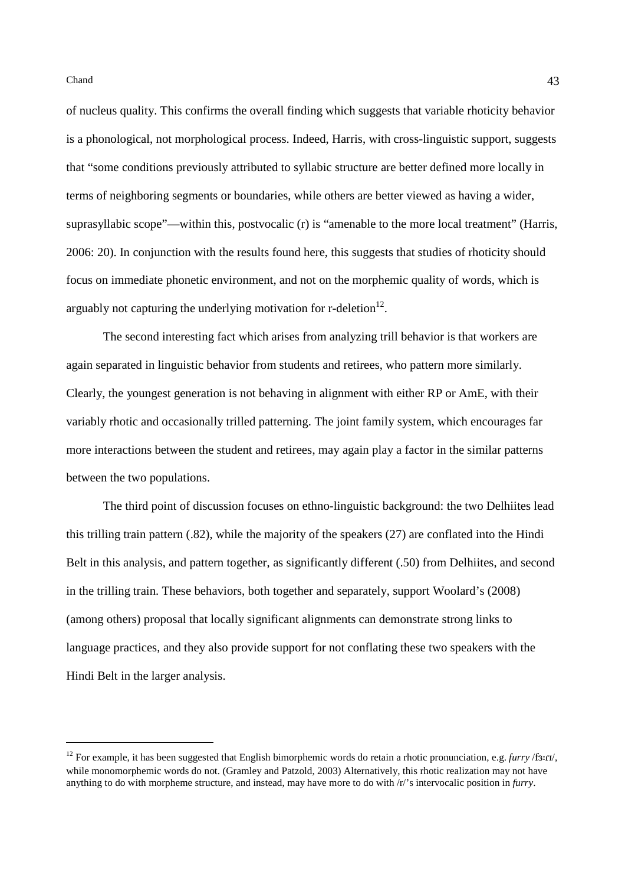of nucleus quality. This confirms the overall finding which suggests that variable rhoticity behavior is a phonological, not morphological process. Indeed, Harris, with cross-linguistic support, suggests that "some conditions previously attributed to syllabic structure are better defined more locally in terms of neighboring segments or boundaries, while others are better viewed as having a wider, suprasyllabic scope"—within this, postvocalic (r) is "amenable to the more local treatment" (Harris, 2006: 20). In conjunction with the results found here, this suggests that studies of rhoticity should focus on immediate phonetic environment, and not on the morphemic quality of words, which is arguably not capturing the underlying motivation for  $r$ -deletion $^{12}$ .

The second interesting fact which arises from analyzing trill behavior is that workers are again separated in linguistic behavior from students and retirees, who pattern more similarly. Clearly, the youngest generation is not behaving in alignment with either RP or AmE, with their variably rhotic and occasionally trilled patterning. The joint family system, which encourages far more interactions between the student and retirees, may again play a factor in the similar patterns between the two populations.

The third point of discussion focuses on ethno-linguistic background: the two Delhiites lead this trilling train pattern (.82), while the majority of the speakers (27) are conflated into the Hindi Belt in this analysis, and pattern together, as significantly different (.50) from Delhiites, and second in the trilling train. These behaviors, both together and separately, support Woolard's (2008) (among others) proposal that locally significant alignments can demonstrate strong links to language practices, and they also provide support for not conflating these two speakers with the Hindi Belt in the larger analysis.

<sup>&</sup>lt;sup>12</sup> For example, it has been suggested that English bimorphemic words do retain a rhotic pronunciation, e.g. *furry* /f**3**: $r$ u/, while monomorphemic words do not. (Gramley and Patzold, 2003) Alternatively, this rhotic realization may not have anything to do with morpheme structure, and instead, may have more to do with /r/'s intervocalic position in *furry*.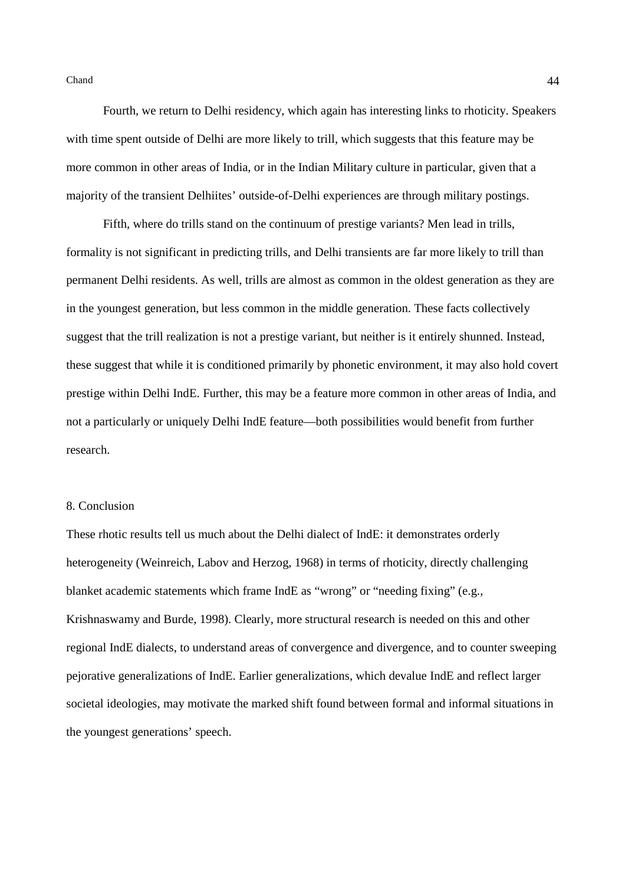Fourth, we return to Delhi residency, which again has interesting links to rhoticity. Speakers with time spent outside of Delhi are more likely to trill, which suggests that this feature may be more common in other areas of India, or in the Indian Military culture in particular, given that a majority of the transient Delhiites' outside-of-Delhi experiences are through military postings.

Fifth, where do trills stand on the continuum of prestige variants? Men lead in trills, formality is not significant in predicting trills, and Delhi transients are far more likely to trill than permanent Delhi residents. As well, trills are almost as common in the oldest generation as they are in the youngest generation, but less common in the middle generation. These facts collectively suggest that the trill realization is not a prestige variant, but neither is it entirely shunned. Instead, these suggest that while it is conditioned primarily by phonetic environment, it may also hold covert prestige within Delhi IndE. Further, this may be a feature more common in other areas of India, and not a particularly or uniquely Delhi IndE feature—both possibilities would benefit from further research.

# 8. Conclusion

These rhotic results tell us much about the Delhi dialect of IndE: it demonstrates orderly heterogeneity (Weinreich, Labov and Herzog, 1968) in terms of rhoticity, directly challenging blanket academic statements which frame IndE as "wrong" or "needing fixing" (e.g., Krishnaswamy and Burde, 1998). Clearly, more structural research is needed on this and other regional IndE dialects, to understand areas of convergence and divergence, and to counter sweeping pejorative generalizations of IndE. Earlier generalizations, which devalue IndE and reflect larger societal ideologies, may motivate the marked shift found between formal and informal situations in the youngest generations' speech.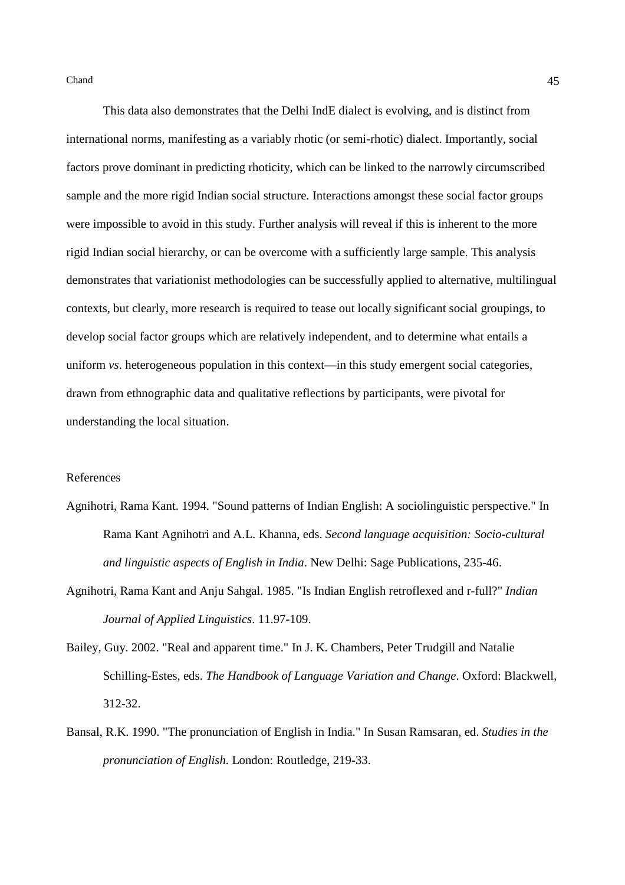This data also demonstrates that the Delhi IndE dialect is evolving, and is distinct from international norms, manifesting as a variably rhotic (or semi-rhotic) dialect. Importantly, social factors prove dominant in predicting rhoticity, which can be linked to the narrowly circumscribed sample and the more rigid Indian social structure. Interactions amongst these social factor groups were impossible to avoid in this study. Further analysis will reveal if this is inherent to the more rigid Indian social hierarchy, or can be overcome with a sufficiently large sample. This analysis demonstrates that variationist methodologies can be successfully applied to alternative, multilingual contexts, but clearly, more research is required to tease out locally significant social groupings, to develop social factor groups which are relatively independent, and to determine what entails a uniform *vs*. heterogeneous population in this context—in this study emergent social categories, drawn from ethnographic data and qualitative reflections by participants, were pivotal for understanding the local situation.

#### References

- Agnihotri, Rama Kant. 1994. "Sound patterns of Indian English: A sociolinguistic perspective." In Rama Kant Agnihotri and A.L. Khanna, eds. *Second language acquisition: Socio-cultural and linguistic aspects of English in India*. New Delhi: Sage Publications, 235-46.
- Agnihotri, Rama Kant and Anju Sahgal. 1985. "Is Indian English retroflexed and r-full?" *Indian Journal of Applied Linguistics*. 11.97-109.
- Bailey, Guy. 2002. "Real and apparent time." In J. K. Chambers, Peter Trudgill and Natalie Schilling-Estes, eds. *The Handbook of Language Variation and Change*. Oxford: Blackwell, 312-32.
- Bansal, R.K. 1990. "The pronunciation of English in India." In Susan Ramsaran, ed. *Studies in the pronunciation of English*. London: Routledge, 219-33.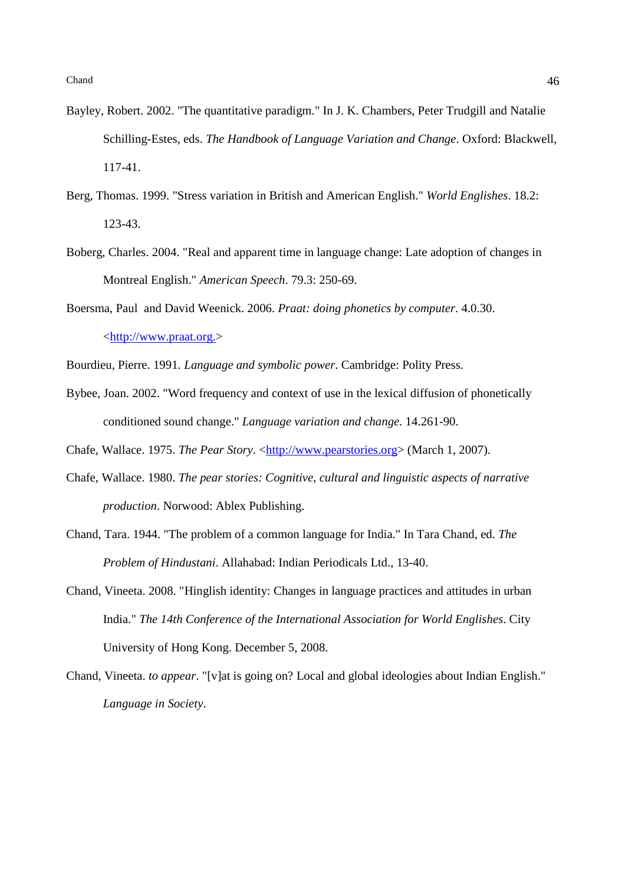- Bayley, Robert. 2002. "The quantitative paradigm." In J. K. Chambers, Peter Trudgill and Natalie Schilling-Estes, eds. *The Handbook of Language Variation and Change*. Oxford: Blackwell, 117-41.
- Berg, Thomas. 1999. "Stress variation in British and American English." *World Englishes*. 18.2: 123-43.
- Boberg, Charles. 2004. "Real and apparent time in language change: Late adoption of changes in Montreal English." *American Speech*. 79.3: 250-69.
- Boersma, Paul and David Weenick. 2006. *Praat: doing phonetics by computer*. 4.0.30. <http://www.praat.org.>
- Bourdieu, Pierre. 1991. *Language and symbolic power*. Cambridge: Polity Press.
- Bybee, Joan. 2002. "Word frequency and context of use in the lexical diffusion of phonetically conditioned sound change." *Language variation and change*. 14.261-90.
- Chafe, Wallace. 1975. *The Pear Story*. <http://www.pearstories.org> (March 1, 2007).
- Chafe, Wallace. 1980. *The pear stories: Cognitive, cultural and linguistic aspects of narrative production*. Norwood: Ablex Publishing.
- Chand, Tara. 1944. "The problem of a common language for India." In Tara Chand, ed. *The Problem of Hindustani*. Allahabad: Indian Periodicals Ltd., 13-40.
- Chand, Vineeta. 2008. "Hinglish identity: Changes in language practices and attitudes in urban India." *The 14th Conference of the International Association for World Englishes*. City University of Hong Kong. December 5, 2008.
- Chand, Vineeta. *to appear*. "[v]at is going on? Local and global ideologies about Indian English." *Language in Society*.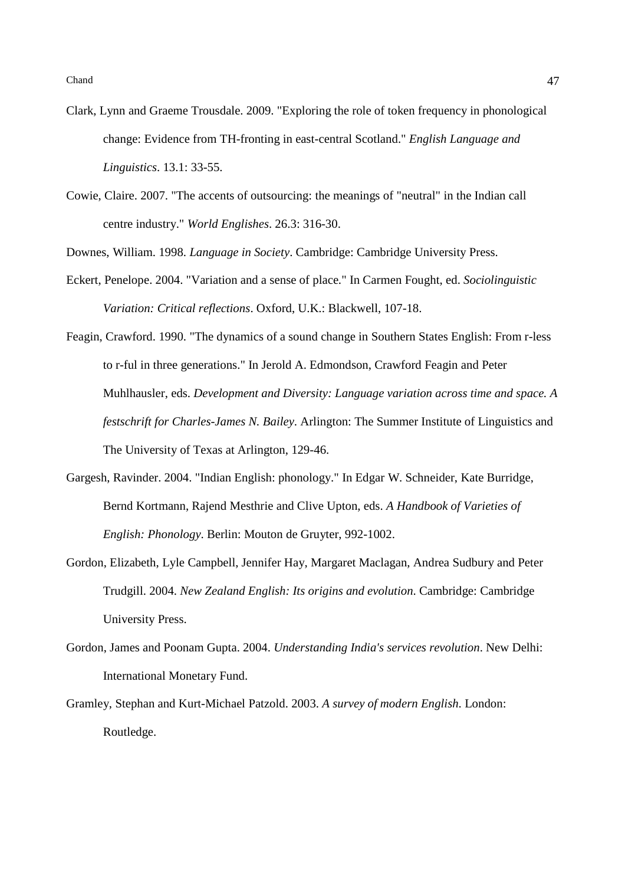- Clark, Lynn and Graeme Trousdale. 2009. "Exploring the role of token frequency in phonological change: Evidence from TH-fronting in east-central Scotland." *English Language and Linguistics*. 13.1: 33-55.
- Cowie, Claire. 2007. "The accents of outsourcing: the meanings of "neutral" in the Indian call centre industry." *World Englishes*. 26.3: 316-30.
- Downes, William. 1998. *Language in Society*. Cambridge: Cambridge University Press.
- Eckert, Penelope. 2004. "Variation and a sense of place." In Carmen Fought, ed. *Sociolinguistic Variation: Critical reflections*. Oxford, U.K.: Blackwell, 107-18.
- Feagin, Crawford. 1990. "The dynamics of a sound change in Southern States English: From r-less to r-ful in three generations." In Jerold A. Edmondson, Crawford Feagin and Peter Muhlhausler, eds. *Development and Diversity: Language variation across time and space. A festschrift for Charles-James N. Bailey*. Arlington: The Summer Institute of Linguistics and The University of Texas at Arlington, 129-46.
- Gargesh, Ravinder. 2004. "Indian English: phonology." In Edgar W. Schneider, Kate Burridge, Bernd Kortmann, Rajend Mesthrie and Clive Upton, eds. *A Handbook of Varieties of English: Phonology*. Berlin: Mouton de Gruyter, 992-1002.
- Gordon, Elizabeth, Lyle Campbell, Jennifer Hay, Margaret Maclagan, Andrea Sudbury and Peter Trudgill. 2004. *New Zealand English: Its origins and evolution*. Cambridge: Cambridge University Press.
- Gordon, James and Poonam Gupta. 2004. *Understanding India's services revolution*. New Delhi: International Monetary Fund.
- Gramley, Stephan and Kurt-Michael Patzold. 2003. *A survey of modern English*. London: Routledge.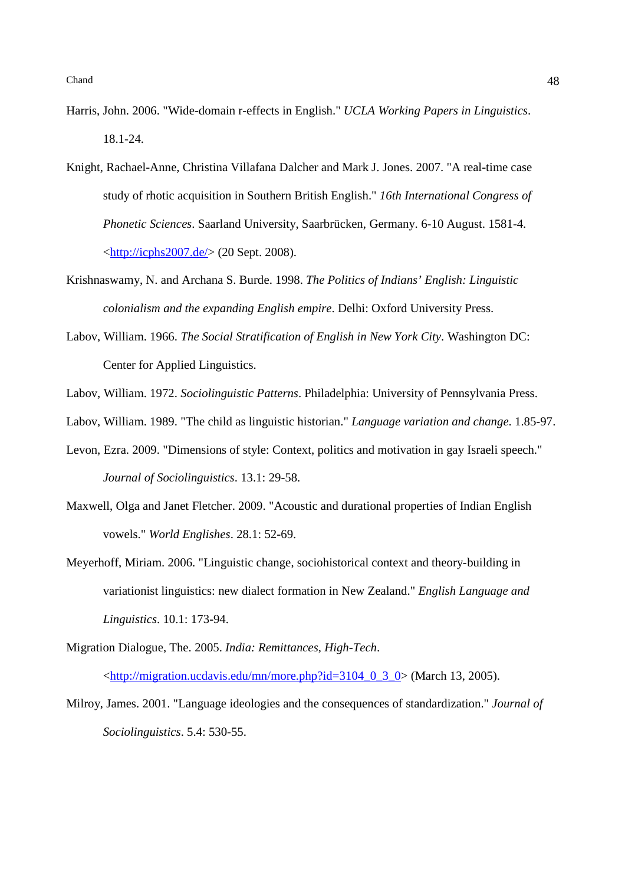- Harris, John. 2006. "Wide-domain r-effects in English." *UCLA Working Papers in Linguistics*. 18.1-24.
- Knight, Rachael-Anne, Christina Villafana Dalcher and Mark J. Jones. 2007. "A real-time case study of rhotic acquisition in Southern British English." *16th International Congress of Phonetic Sciences*. Saarland University, Saarbrücken, Germany. 6-10 August. 1581-4. <http://icphs2007.de/> (20 Sept. 2008).
- Krishnaswamy, N. and Archana S. Burde. 1998. *The Politics of Indians' English: Linguistic colonialism and the expanding English empire*. Delhi: Oxford University Press.
- Labov, William. 1966. *The Social Stratification of English in New York City*. Washington DC: Center for Applied Linguistics.
- Labov, William. 1972. *Sociolinguistic Patterns*. Philadelphia: University of Pennsylvania Press.
- Labov, William. 1989. "The child as linguistic historian." *Language variation and change*. 1.85-97.
- Levon, Ezra. 2009. "Dimensions of style: Context, politics and motivation in gay Israeli speech." *Journal of Sociolinguistics*. 13.1: 29-58.
- Maxwell, Olga and Janet Fletcher. 2009. "Acoustic and durational properties of Indian English vowels." *World Englishes*. 28.1: 52-69.
- Meyerhoff, Miriam. 2006. "Linguistic change, sociohistorical context and theory-building in variationist linguistics: new dialect formation in New Zealand." *English Language and Linguistics*. 10.1: 173-94.
- Migration Dialogue, The. 2005. *India: Remittances, High-Tech*.

 $\lt$ http://migration.ucdavis.edu/mn/more.php?id=3104\_0\_3\_0> (March 13, 2005).

Milroy, James. 2001. "Language ideologies and the consequences of standardization." *Journal of Sociolinguistics*. 5.4: 530-55.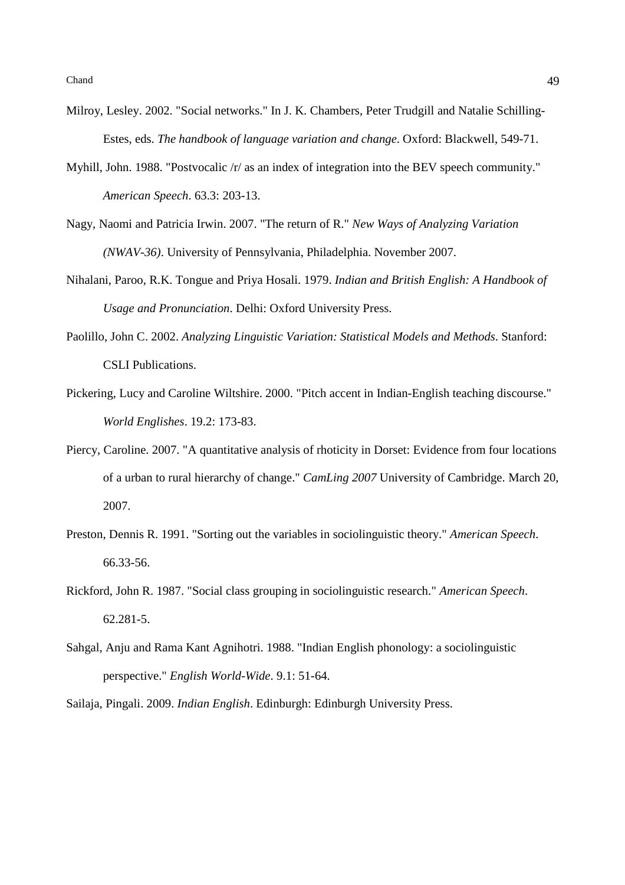- Milroy, Lesley. 2002. "Social networks." In J. K. Chambers, Peter Trudgill and Natalie Schilling-Estes, eds. *The handbook of language variation and change*. Oxford: Blackwell, 549-71.
- Myhill, John. 1988. "Postvocalic /r/ as an index of integration into the BEV speech community." *American Speech*. 63.3: 203-13.
- Nagy, Naomi and Patricia Irwin. 2007. "The return of R." *New Ways of Analyzing Variation (NWAV-36)*. University of Pennsylvania, Philadelphia. November 2007.
- Nihalani, Paroo, R.K. Tongue and Priya Hosali. 1979. *Indian and British English: A Handbook of Usage and Pronunciation*. Delhi: Oxford University Press.
- Paolillo, John C. 2002. *Analyzing Linguistic Variation: Statistical Models and Methods*. Stanford: CSLI Publications.
- Pickering, Lucy and Caroline Wiltshire. 2000. "Pitch accent in Indian-English teaching discourse." *World Englishes*. 19.2: 173-83.
- Piercy, Caroline. 2007. "A quantitative analysis of rhoticity in Dorset: Evidence from four locations of a urban to rural hierarchy of change." *CamLing 2007* University of Cambridge. March 20, 2007.
- Preston, Dennis R. 1991. "Sorting out the variables in sociolinguistic theory." *American Speech*. 66.33-56.
- Rickford, John R. 1987. "Social class grouping in sociolinguistic research." *American Speech*. 62.281-5.
- Sahgal, Anju and Rama Kant Agnihotri. 1988. "Indian English phonology: a sociolinguistic perspective." *English World-Wide*. 9.1: 51-64.

Sailaja, Pingali. 2009. *Indian English*. Edinburgh: Edinburgh University Press.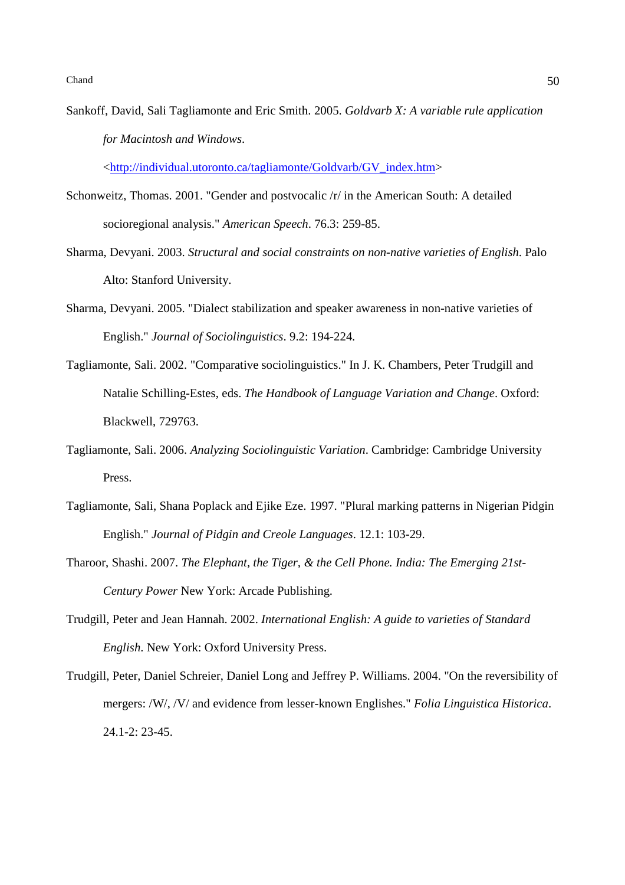Sankoff, David, Sali Tagliamonte and Eric Smith. 2005. *Goldvarb X: A variable rule application for Macintosh and Windows*.

<http://individual.utoronto.ca/tagliamonte/Goldvarb/GV\_index.htm>

- Schonweitz, Thomas. 2001. "Gender and postvocalic /r/ in the American South: A detailed socioregional analysis." *American Speech*. 76.3: 259-85.
- Sharma, Devyani. 2003. *Structural and social constraints on non-native varieties of English*. Palo Alto: Stanford University.
- Sharma, Devyani. 2005. "Dialect stabilization and speaker awareness in non-native varieties of English." *Journal of Sociolinguistics*. 9.2: 194-224.
- Tagliamonte, Sali. 2002. "Comparative sociolinguistics." In J. K. Chambers, Peter Trudgill and Natalie Schilling-Estes, eds. *The Handbook of Language Variation and Change*. Oxford: Blackwell, 729763.
- Tagliamonte, Sali. 2006. *Analyzing Sociolinguistic Variation*. Cambridge: Cambridge University Press.
- Tagliamonte, Sali, Shana Poplack and Ejike Eze. 1997. "Plural marking patterns in Nigerian Pidgin English." *Journal of Pidgin and Creole Languages*. 12.1: 103-29.
- Tharoor, Shashi. 2007. *The Elephant, the Tiger, & the Cell Phone. India: The Emerging 21st-Century Power* New York: Arcade Publishing.
- Trudgill, Peter and Jean Hannah. 2002. *International English: A guide to varieties of Standard English*. New York: Oxford University Press.
- Trudgill, Peter, Daniel Schreier, Daniel Long and Jeffrey P. Williams. 2004. "On the reversibility of mergers: /W/, /V/ and evidence from lesser-known Englishes." *Folia Linguistica Historica*. 24.1-2: 23-45.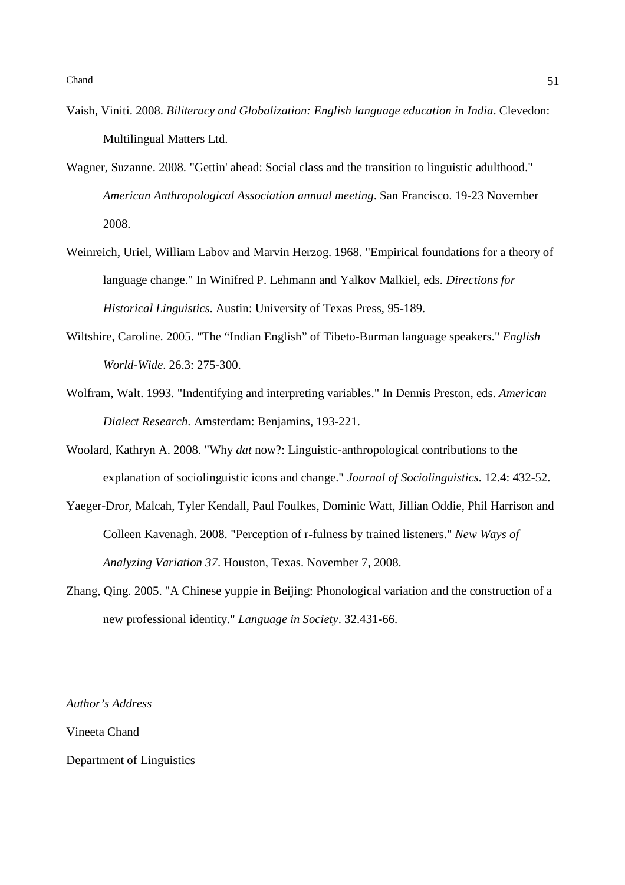- Vaish, Viniti. 2008. *Biliteracy and Globalization: English language education in India*. Clevedon: Multilingual Matters Ltd.
- Wagner, Suzanne. 2008. "Gettin' ahead: Social class and the transition to linguistic adulthood." *American Anthropological Association annual meeting*. San Francisco. 19-23 November 2008.
- Weinreich, Uriel, William Labov and Marvin Herzog. 1968. "Empirical foundations for a theory of language change." In Winifred P. Lehmann and Yalkov Malkiel, eds. *Directions for Historical Linguistics*. Austin: University of Texas Press, 95-189.
- Wiltshire, Caroline. 2005. "The "Indian English" of Tibeto-Burman language speakers." *English World-Wide*. 26.3: 275-300.
- Wolfram, Walt. 1993. "Indentifying and interpreting variables." In Dennis Preston, eds. *American Dialect Research*. Amsterdam: Benjamins, 193-221.
- Woolard, Kathryn A. 2008. "Why *dat* now?: Linguistic-anthropological contributions to the explanation of sociolinguistic icons and change." *Journal of Sociolinguistics*. 12.4: 432-52.
- Yaeger-Dror, Malcah, Tyler Kendall, Paul Foulkes, Dominic Watt, Jillian Oddie, Phil Harrison and Colleen Kavenagh. 2008. "Perception of r-fulness by trained listeners." *New Ways of Analyzing Variation 37*. Houston, Texas. November 7, 2008.
- Zhang, Qing. 2005. "A Chinese yuppie in Beijing: Phonological variation and the construction of a new professional identity." *Language in Society*. 32.431-66.

*Author's Address* 

Vineeta Chand

Department of Linguistics